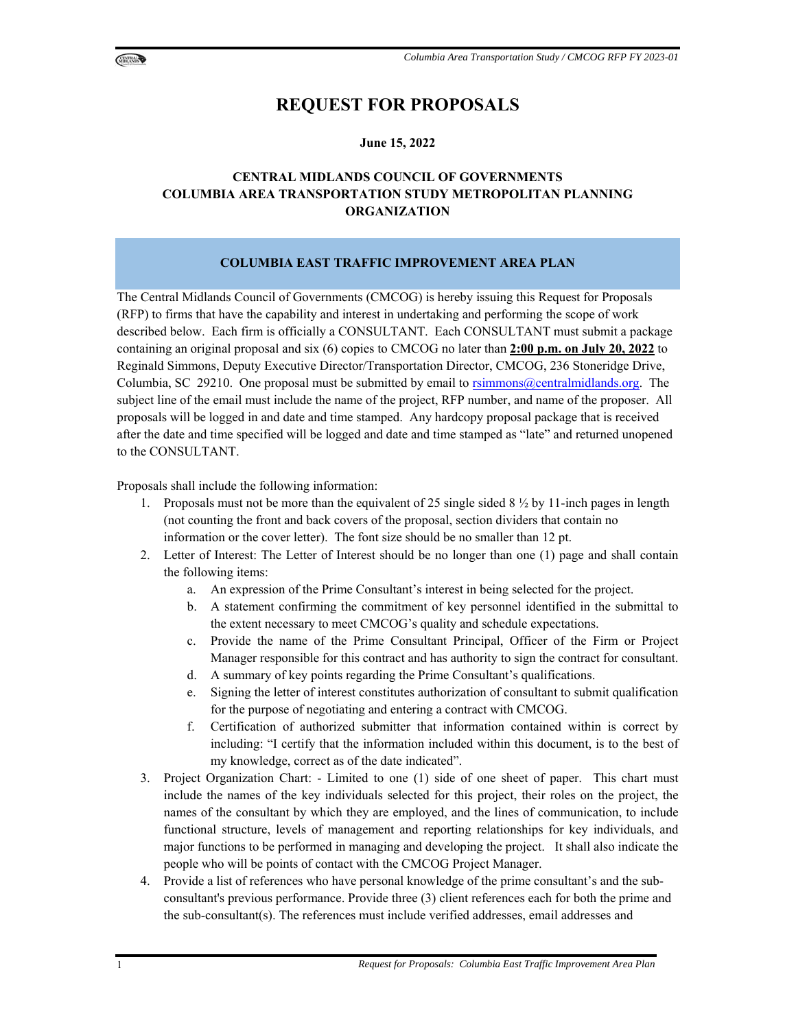



## **REQUEST FOR PROPOSALS**

#### **June 15, 2022**

## **CENTRAL MIDLANDS COUNCIL OF GOVERNMENTS COLUMBIA AREA TRANSPORTATION STUDY METROPOLITAN PLANNING ORGANIZATION**

#### **COLUMBIA EAST TRAFFIC IMPROVEMENT AREA PLAN**

The Central Midlands Council of Governments (CMCOG) is hereby issuing this Request for Proposals (RFP) to firms that have the capability and interest in undertaking and performing the scope of work described below. Each firm is officially a CONSULTANT. Each CONSULTANT must submit a package containing an original proposal and six (6) copies to CMCOG no later than **2:00 p.m. on July 20, 2022** to Reginald Simmons, Deputy Executive Director/Transportation Director, CMCOG, 236 Stoneridge Drive, Columbia, SC 29210. One proposal must be submitted by email to rsimmons@centralmidlands.org. The subject line of the email must include the name of the project, RFP number, and name of the proposer. All proposals will be logged in and date and time stamped. Any hardcopy proposal package that is received after the date and time specified will be logged and date and time stamped as "late" and returned unopened to the CONSULTANT.

Proposals shall include the following information:

- 1. Proposals must not be more than the equivalent of 25 single sided  $8\frac{1}{2}$  by 11-inch pages in length (not counting the front and back covers of the proposal, section dividers that contain no information or the cover letter). The font size should be no smaller than 12 pt.
- 2. Letter of Interest: The Letter of Interest should be no longer than one (1) page and shall contain the following items:
	- a. An expression of the Prime Consultant's interest in being selected for the project.
	- b. A statement confirming the commitment of key personnel identified in the submittal to the extent necessary to meet CMCOG's quality and schedule expectations.
	- c. Provide the name of the Prime Consultant Principal, Officer of the Firm or Project Manager responsible for this contract and has authority to sign the contract for consultant.
	- d. A summary of key points regarding the Prime Consultant's qualifications.
	- e. Signing the letter of interest constitutes authorization of consultant to submit qualification for the purpose of negotiating and entering a contract with CMCOG.
	- f. Certification of authorized submitter that information contained within is correct by including: "I certify that the information included within this document, is to the best of my knowledge, correct as of the date indicated".
- 3. Project Organization Chart: Limited to one (1) side of one sheet of paper. This chart must include the names of the key individuals selected for this project, their roles on the project, the names of the consultant by which they are employed, and the lines of communication, to include functional structure, levels of management and reporting relationships for key individuals, and major functions to be performed in managing and developing the project. It shall also indicate the people who will be points of contact with the CMCOG Project Manager.
- 4. Provide a list of references who have personal knowledge of the prime consultant's and the subconsultant's previous performance. Provide three (3) client references each for both the prime and the sub-consultant(s). The references must include verified addresses, email addresses and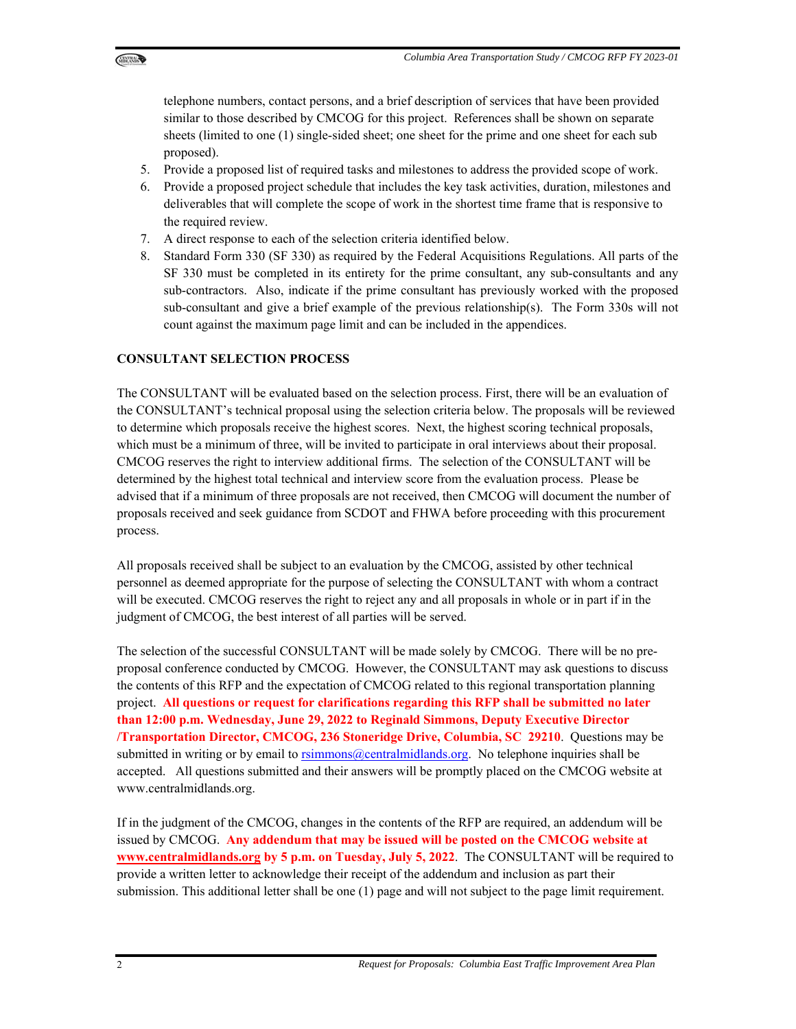

telephone numbers, contact persons, and a brief description of services that have been provided similar to those described by CMCOG for this project. References shall be shown on separate sheets (limited to one (1) single-sided sheet; one sheet for the prime and one sheet for each sub proposed).

- 5. Provide a proposed list of required tasks and milestones to address the provided scope of work.
- 6. Provide a proposed project schedule that includes the key task activities, duration, milestones and deliverables that will complete the scope of work in the shortest time frame that is responsive to the required review.
- 7. A direct response to each of the selection criteria identified below.
- 8. Standard Form 330 (SF 330) as required by the Federal Acquisitions Regulations. All parts of the SF 330 must be completed in its entirety for the prime consultant, any sub-consultants and any sub-contractors. Also, indicate if the prime consultant has previously worked with the proposed sub-consultant and give a brief example of the previous relationship(s). The Form 330s will not count against the maximum page limit and can be included in the appendices.

#### **CONSULTANT SELECTION PROCESS**

The CONSULTANT will be evaluated based on the selection process. First, there will be an evaluation of the CONSULTANT's technical proposal using the selection criteria below. The proposals will be reviewed to determine which proposals receive the highest scores. Next, the highest scoring technical proposals, which must be a minimum of three, will be invited to participate in oral interviews about their proposal. CMCOG reserves the right to interview additional firms. The selection of the CONSULTANT will be determined by the highest total technical and interview score from the evaluation process. Please be advised that if a minimum of three proposals are not received, then CMCOG will document the number of proposals received and seek guidance from SCDOT and FHWA before proceeding with this procurement process.

All proposals received shall be subject to an evaluation by the CMCOG, assisted by other technical personnel as deemed appropriate for the purpose of selecting the CONSULTANT with whom a contract will be executed. CMCOG reserves the right to reject any and all proposals in whole or in part if in the judgment of CMCOG, the best interest of all parties will be served.

The selection of the successful CONSULTANT will be made solely by CMCOG. There will be no preproposal conference conducted by CMCOG. However, the CONSULTANT may ask questions to discuss the contents of this RFP and the expectation of CMCOG related to this regional transportation planning project. **All questions or request for clarifications regarding this RFP shall be submitted no later than 12:00 p.m. Wednesday, June 29, 2022 to Reginald Simmons, Deputy Executive Director /Transportation Director, CMCOG, 236 Stoneridge Drive, Columbia, SC 29210**. Questions may be submitted in writing or by email to rsimmons@centralmidlands.org. No telephone inquiries shall be accepted. All questions submitted and their answers will be promptly placed on the CMCOG website at www.centralmidlands.org.

If in the judgment of the CMCOG, changes in the contents of the RFP are required, an addendum will be issued by CMCOG. **Any addendum that may be issued will be posted on the CMCOG website at www.centralmidlands.org by 5 p.m. on Tuesday, July 5, 2022**. The CONSULTANT will be required to provide a written letter to acknowledge their receipt of the addendum and inclusion as part their submission. This additional letter shall be one (1) page and will not subject to the page limit requirement.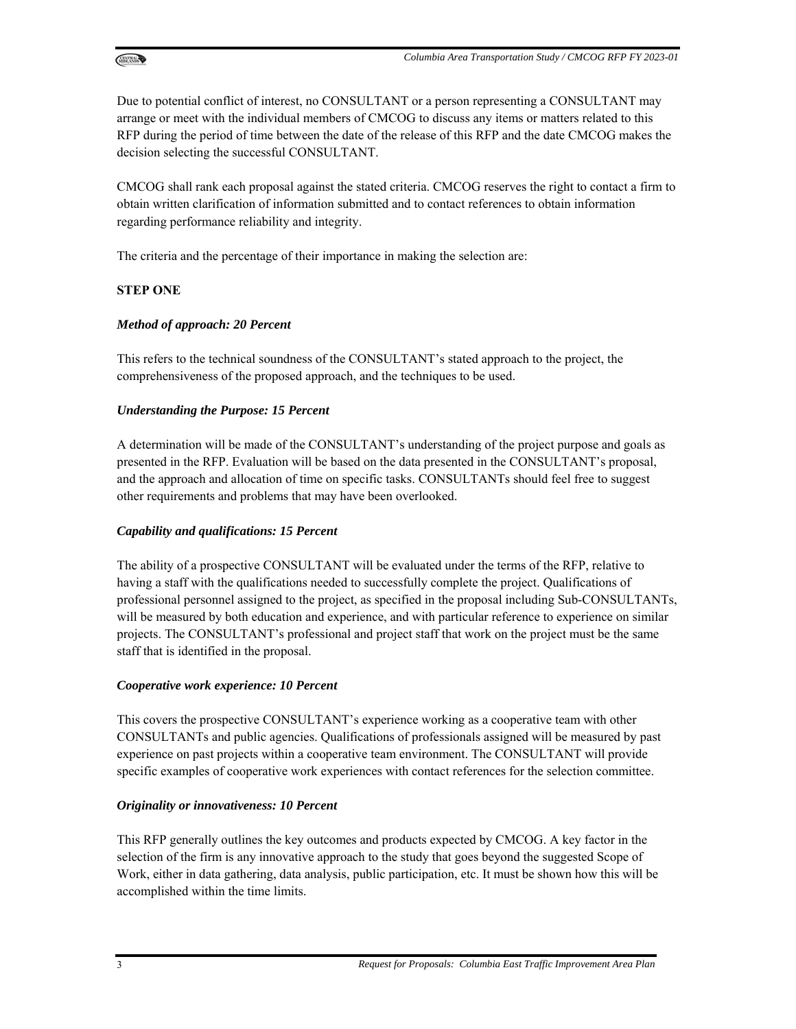

Due to potential conflict of interest, no CONSULTANT or a person representing a CONSULTANT may arrange or meet with the individual members of CMCOG to discuss any items or matters related to this RFP during the period of time between the date of the release of this RFP and the date CMCOG makes the decision selecting the successful CONSULTANT.

CMCOG shall rank each proposal against the stated criteria. CMCOG reserves the right to contact a firm to obtain written clarification of information submitted and to contact references to obtain information regarding performance reliability and integrity.

The criteria and the percentage of their importance in making the selection are:

## **STEP ONE**

#### *Method of approach: 20 Percent*

This refers to the technical soundness of the CONSULTANT's stated approach to the project, the comprehensiveness of the proposed approach, and the techniques to be used.

#### *Understanding the Purpose: 15 Percent*

A determination will be made of the CONSULTANT's understanding of the project purpose and goals as presented in the RFP. Evaluation will be based on the data presented in the CONSULTANT's proposal, and the approach and allocation of time on specific tasks. CONSULTANTs should feel free to suggest other requirements and problems that may have been overlooked.

#### *Capability and qualifications: 15 Percent*

The ability of a prospective CONSULTANT will be evaluated under the terms of the RFP, relative to having a staff with the qualifications needed to successfully complete the project. Qualifications of professional personnel assigned to the project, as specified in the proposal including Sub-CONSULTANTs, will be measured by both education and experience, and with particular reference to experience on similar projects. The CONSULTANT's professional and project staff that work on the project must be the same staff that is identified in the proposal.

#### *Cooperative work experience: 10 Percent*

This covers the prospective CONSULTANT's experience working as a cooperative team with other CONSULTANTs and public agencies. Qualifications of professionals assigned will be measured by past experience on past projects within a cooperative team environment. The CONSULTANT will provide specific examples of cooperative work experiences with contact references for the selection committee.

#### *Originality or innovativeness: 10 Percent*

This RFP generally outlines the key outcomes and products expected by CMCOG. A key factor in the selection of the firm is any innovative approach to the study that goes beyond the suggested Scope of Work, either in data gathering, data analysis, public participation, etc. It must be shown how this will be accomplished within the time limits.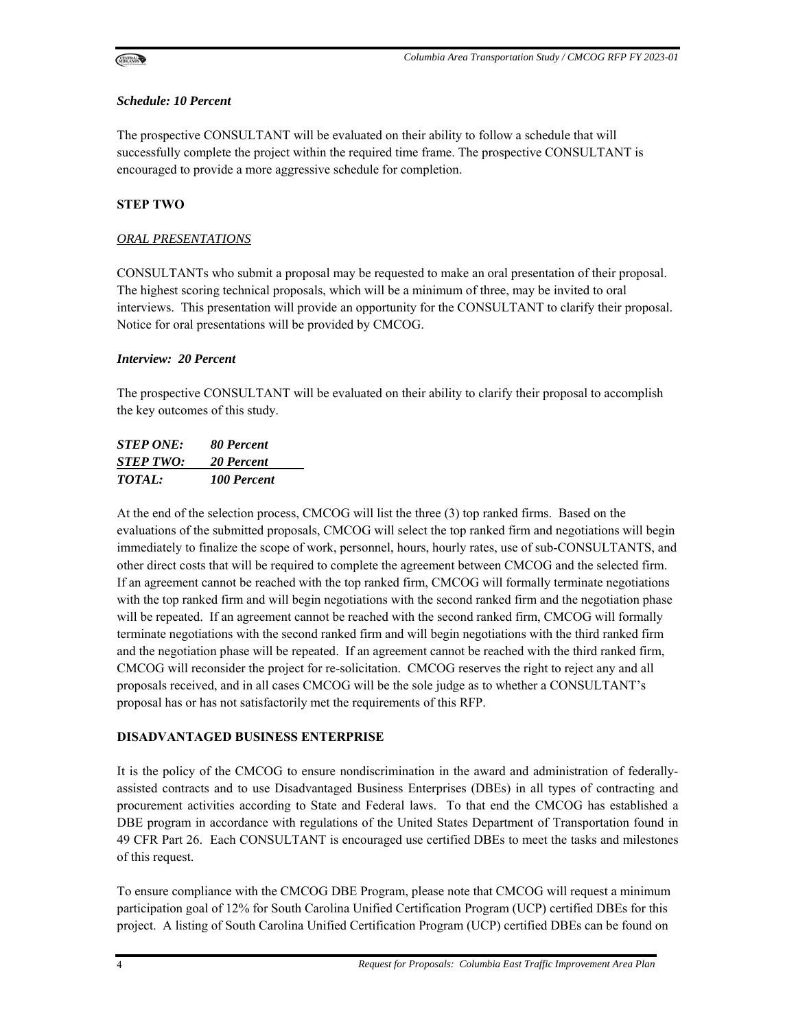

#### *Schedule: 10 Percent*

The prospective CONSULTANT will be evaluated on their ability to follow a schedule that will successfully complete the project within the required time frame. The prospective CONSULTANT is encouraged to provide a more aggressive schedule for completion.

#### **STEP TWO**

#### *ORAL PRESENTATIONS*

CONSULTANTs who submit a proposal may be requested to make an oral presentation of their proposal. The highest scoring technical proposals, which will be a minimum of three, may be invited to oral interviews. This presentation will provide an opportunity for the CONSULTANT to clarify their proposal. Notice for oral presentations will be provided by CMCOG.

#### *Interview: 20 Percent*

The prospective CONSULTANT will be evaluated on their ability to clarify their proposal to accomplish the key outcomes of this study.

| <b>STEP ONE:</b> | 80 Percent  |
|------------------|-------------|
| <b>STEP TWO:</b> | 20 Percent  |
| <i>TOTAL:</i>    | 100 Percent |

At the end of the selection process, CMCOG will list the three (3) top ranked firms. Based on the evaluations of the submitted proposals, CMCOG will select the top ranked firm and negotiations will begin immediately to finalize the scope of work, personnel, hours, hourly rates, use of sub-CONSULTANTS, and other direct costs that will be required to complete the agreement between CMCOG and the selected firm. If an agreement cannot be reached with the top ranked firm, CMCOG will formally terminate negotiations with the top ranked firm and will begin negotiations with the second ranked firm and the negotiation phase will be repeated. If an agreement cannot be reached with the second ranked firm, CMCOG will formally terminate negotiations with the second ranked firm and will begin negotiations with the third ranked firm and the negotiation phase will be repeated. If an agreement cannot be reached with the third ranked firm, CMCOG will reconsider the project for re-solicitation. CMCOG reserves the right to reject any and all proposals received, and in all cases CMCOG will be the sole judge as to whether a CONSULTANT's proposal has or has not satisfactorily met the requirements of this RFP.

#### **DISADVANTAGED BUSINESS ENTERPRISE**

It is the policy of the CMCOG to ensure nondiscrimination in the award and administration of federallyassisted contracts and to use Disadvantaged Business Enterprises (DBEs) in all types of contracting and procurement activities according to State and Federal laws. To that end the CMCOG has established a DBE program in accordance with regulations of the United States Department of Transportation found in 49 CFR Part 26. Each CONSULTANT is encouraged use certified DBEs to meet the tasks and milestones of this request.

To ensure compliance with the CMCOG DBE Program, please note that CMCOG will request a minimum participation goal of 12% for South Carolina Unified Certification Program (UCP) certified DBEs for this project. A listing of South Carolina Unified Certification Program (UCP) certified DBEs can be found on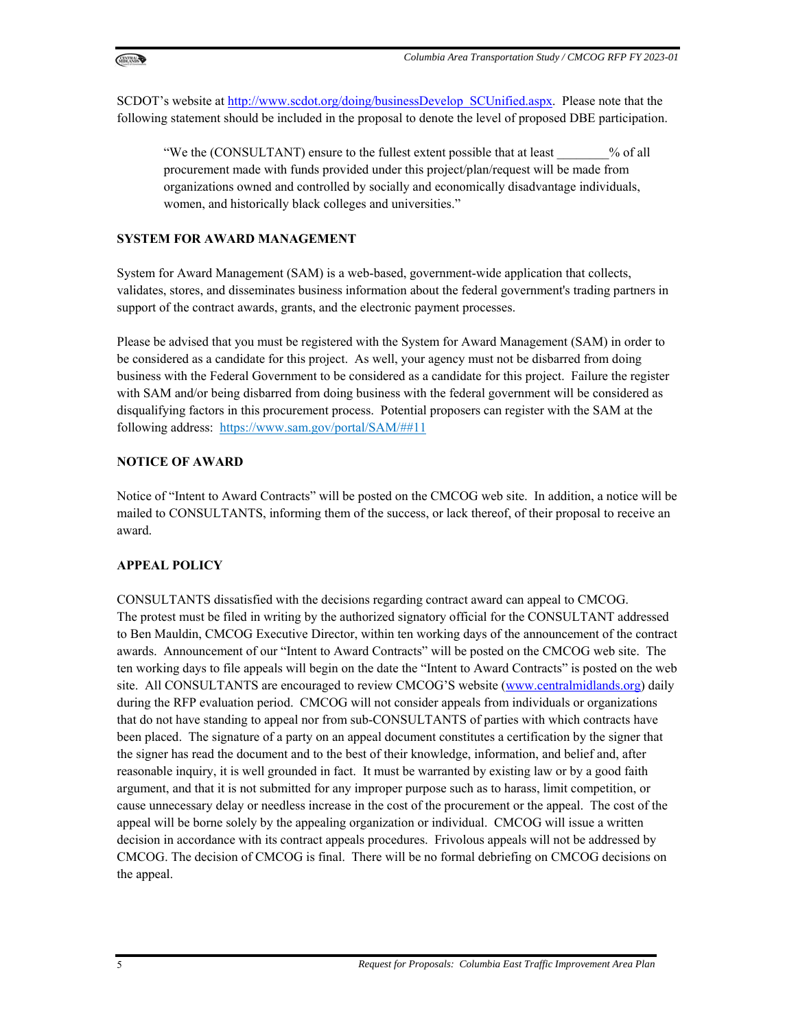

SCDOT's website at http://www.scdot.org/doing/businessDevelop\_SCUnified.aspx. Please note that the following statement should be included in the proposal to denote the level of proposed DBE participation.

"We the (CONSULTANT) ensure to the fullest extent possible that at least  $\%$  of all procurement made with funds provided under this project/plan/request will be made from organizations owned and controlled by socially and economically disadvantage individuals, women, and historically black colleges and universities."

#### **SYSTEM FOR AWARD MANAGEMENT**

System for Award Management (SAM) is a web-based, government-wide application that collects, validates, stores, and disseminates business information about the federal government's trading partners in support of the contract awards, grants, and the electronic payment processes.

Please be advised that you must be registered with the System for Award Management (SAM) in order to be considered as a candidate for this project. As well, your agency must not be disbarred from doing business with the Federal Government to be considered as a candidate for this project. Failure the register with SAM and/or being disbarred from doing business with the federal government will be considered as disqualifying factors in this procurement process. Potential proposers can register with the SAM at the following address: https://www.sam.gov/portal/SAM/##11

#### **NOTICE OF AWARD**

Notice of "Intent to Award Contracts" will be posted on the CMCOG web site. In addition, a notice will be mailed to CONSULTANTS, informing them of the success, or lack thereof, of their proposal to receive an award.

## **APPEAL POLICY**

CONSULTANTS dissatisfied with the decisions regarding contract award can appeal to CMCOG. The protest must be filed in writing by the authorized signatory official for the CONSULTANT addressed to Ben Mauldin, CMCOG Executive Director, within ten working days of the announcement of the contract awards. Announcement of our "Intent to Award Contracts" will be posted on the CMCOG web site. The ten working days to file appeals will begin on the date the "Intent to Award Contracts" is posted on the web site. All CONSULTANTS are encouraged to review CMCOG'S website (www.centralmidlands.org) daily during the RFP evaluation period. CMCOG will not consider appeals from individuals or organizations that do not have standing to appeal nor from sub-CONSULTANTS of parties with which contracts have been placed. The signature of a party on an appeal document constitutes a certification by the signer that the signer has read the document and to the best of their knowledge, information, and belief and, after reasonable inquiry, it is well grounded in fact. It must be warranted by existing law or by a good faith argument, and that it is not submitted for any improper purpose such as to harass, limit competition, or cause unnecessary delay or needless increase in the cost of the procurement or the appeal. The cost of the appeal will be borne solely by the appealing organization or individual. CMCOG will issue a written decision in accordance with its contract appeals procedures. Frivolous appeals will not be addressed by CMCOG. The decision of CMCOG is final. There will be no formal debriefing on CMCOG decisions on the appeal.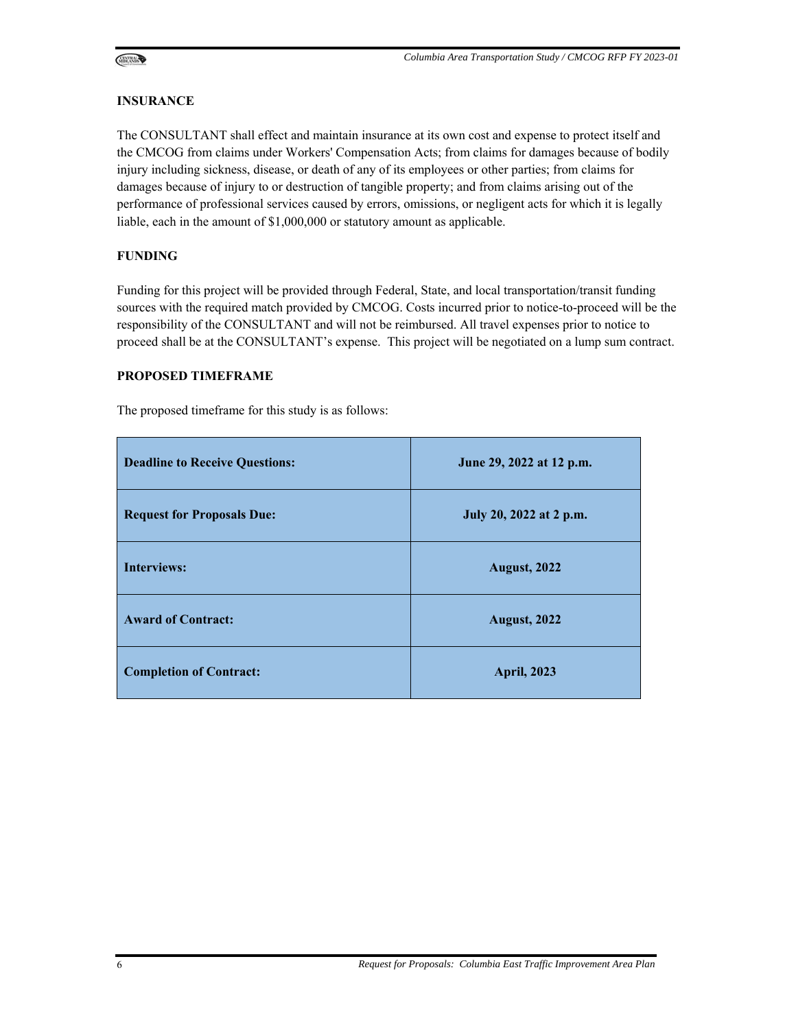

#### **INSURANCE**

The CONSULTANT shall effect and maintain insurance at its own cost and expense to protect itself and the CMCOG from claims under Workers' Compensation Acts; from claims for damages because of bodily injury including sickness, disease, or death of any of its employees or other parties; from claims for damages because of injury to or destruction of tangible property; and from claims arising out of the performance of professional services caused by errors, omissions, or negligent acts for which it is legally liable, each in the amount of \$1,000,000 or statutory amount as applicable.

#### **FUNDING**

Funding for this project will be provided through Federal, State, and local transportation/transit funding sources with the required match provided by CMCOG. Costs incurred prior to notice-to-proceed will be the responsibility of the CONSULTANT and will not be reimbursed. All travel expenses prior to notice to proceed shall be at the CONSULTANT's expense. This project will be negotiated on a lump sum contract.

#### **PROPOSED TIMEFRAME**

The proposed timeframe for this study is as follows:

| <b>Deadline to Receive Questions:</b> | June 29, 2022 at 12 p.m. |
|---------------------------------------|--------------------------|
| <b>Request for Proposals Due:</b>     | July 20, 2022 at 2 p.m.  |
| <b>Interviews:</b>                    | <b>August, 2022</b>      |
| <b>Award of Contract:</b>             | <b>August, 2022</b>      |
| <b>Completion of Contract:</b>        | <b>April, 2023</b>       |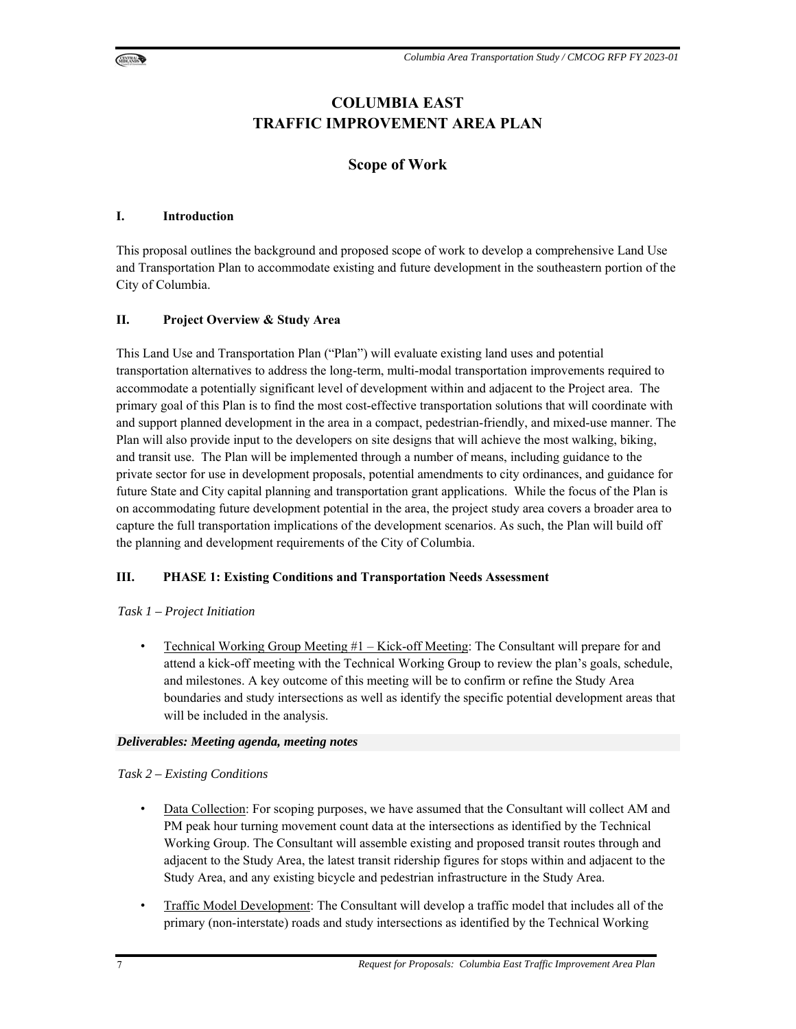

## **COLUMBIA EAST TRAFFIC IMPROVEMENT AREA PLAN**

## **Scope of Work**

#### **I. Introduction**

This proposal outlines the background and proposed scope of work to develop a comprehensive Land Use and Transportation Plan to accommodate existing and future development in the southeastern portion of the City of Columbia.

## **II. Project Overview & Study Area**

This Land Use and Transportation Plan ("Plan") will evaluate existing land uses and potential transportation alternatives to address the long-term, multi-modal transportation improvements required to accommodate a potentially significant level of development within and adjacent to the Project area. The primary goal of this Plan is to find the most cost-effective transportation solutions that will coordinate with and support planned development in the area in a compact, pedestrian-friendly, and mixed-use manner. The Plan will also provide input to the developers on site designs that will achieve the most walking, biking, and transit use. The Plan will be implemented through a number of means, including guidance to the private sector for use in development proposals, potential amendments to city ordinances, and guidance for future State and City capital planning and transportation grant applications. While the focus of the Plan is on accommodating future development potential in the area, the project study area covers a broader area to capture the full transportation implications of the development scenarios. As such, the Plan will build off the planning and development requirements of the City of Columbia.

## **III. PHASE 1: Existing Conditions and Transportation Needs Assessment**

#### *Task 1 – Project Initiation*

• Technical Working Group Meeting  $#1 -$ Kick-off Meeting: The Consultant will prepare for and attend a kick-off meeting with the Technical Working Group to review the plan's goals, schedule, and milestones. A key outcome of this meeting will be to confirm or refine the Study Area boundaries and study intersections as well as identify the specific potential development areas that will be included in the analysis.

#### *Deliverables: Meeting agenda, meeting notes*

#### *Task 2 – Existing Conditions*

- Data Collection: For scoping purposes, we have assumed that the Consultant will collect AM and PM peak hour turning movement count data at the intersections as identified by the Technical Working Group. The Consultant will assemble existing and proposed transit routes through and adjacent to the Study Area, the latest transit ridership figures for stops within and adjacent to the Study Area, and any existing bicycle and pedestrian infrastructure in the Study Area.
- Traffic Model Development: The Consultant will develop a traffic model that includes all of the primary (non-interstate) roads and study intersections as identified by the Technical Working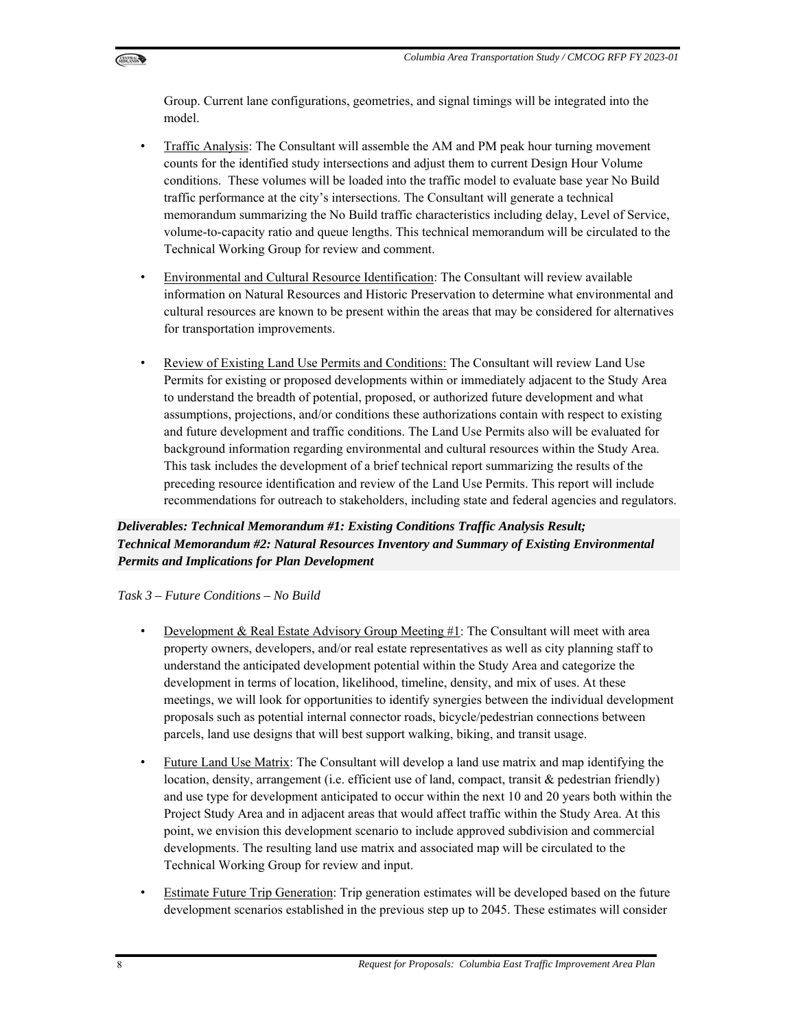

Group. Current lane configurations, geometries, and signal timings will be integrated into the model.

- Traffic Analysis: The Consultant will assemble the AM and PM peak hour turning movement counts for the identified study intersections and adjust them to current Design Hour Volume conditions. These volumes will be loaded into the traffic model to evaluate base year No Build traffic performance at the city's intersections. The Consultant will generate a technical memorandum summarizing the No Build traffic characteristics including delay, Level of Service, volume-to-capacity ratio and queue lengths. This technical memorandum will be circulated to the Technical Working Group for review and comment.
- Environmental and Cultural Resource Identification: The Consultant will review available information on Natural Resources and Historic Preservation to determine what environmental and cultural resources are known to be present within the areas that may be considered for alternatives for transportation improvements.
- Review of Existing Land Use Permits and Conditions: The Consultant will review Land Use Permits for existing or proposed developments within or immediately adjacent to the Study Area to understand the breadth of potential, proposed, or authorized future development and what assumptions, projections, and/or conditions these authorizations contain with respect to existing and future development and traffic conditions. The Land Use Permits also will be evaluated for background information regarding environmental and cultural resources within the Study Area. This task includes the development of a brief technical report summarizing the results of the preceding resource identification and review of the Land Use Permits. This report will include recommendations for outreach to stakeholders, including state and federal agencies and regulators.

*Deliverables: Technical Memorandum #1: Existing Conditions Traffic Analysis Result; Technical Memorandum #2: Natural Resources Inventory and Summary of Existing Environmental Permits and Implications for Plan Development* 

#### *Task 3 – Future Conditions – No Build*

- Development & Real Estate Advisory Group Meeting #1: The Consultant will meet with area property owners, developers, and/or real estate representatives as well as city planning staff to understand the anticipated development potential within the Study Area and categorize the development in terms of location, likelihood, timeline, density, and mix of uses. At these meetings, we will look for opportunities to identify synergies between the individual development proposals such as potential internal connector roads, bicycle/pedestrian connections between parcels, land use designs that will best support walking, biking, and transit usage.
- Future Land Use Matrix: The Consultant will develop a land use matrix and map identifying the location, density, arrangement (i.e. efficient use of land, compact, transit & pedestrian friendly) and use type for development anticipated to occur within the next 10 and 20 years both within the Project Study Area and in adjacent areas that would affect traffic within the Study Area. At this point, we envision this development scenario to include approved subdivision and commercial developments. The resulting land use matrix and associated map will be circulated to the Technical Working Group for review and input.
- Estimate Future Trip Generation: Trip generation estimates will be developed based on the future development scenarios established in the previous step up to 2045. These estimates will consider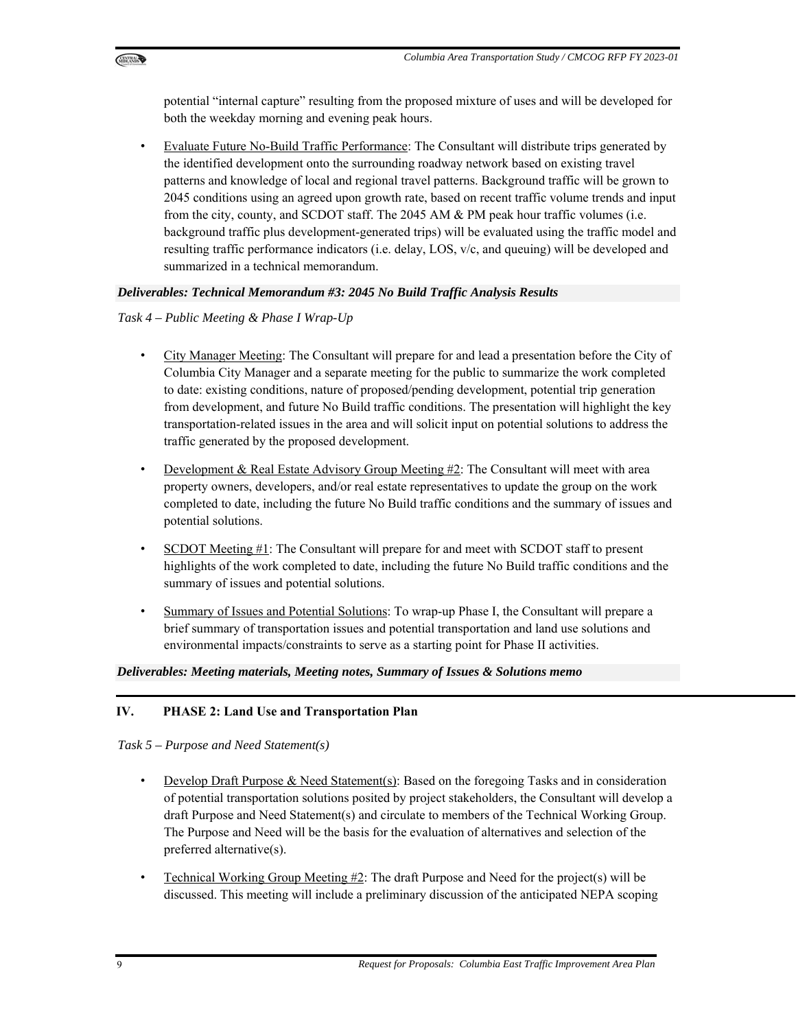

potential "internal capture" resulting from the proposed mixture of uses and will be developed for both the weekday morning and evening peak hours.

• Evaluate Future No-Build Traffic Performance: The Consultant will distribute trips generated by the identified development onto the surrounding roadway network based on existing travel patterns and knowledge of local and regional travel patterns. Background traffic will be grown to 2045 conditions using an agreed upon growth rate, based on recent traffic volume trends and input from the city, county, and SCDOT staff. The 2045 AM & PM peak hour traffic volumes (i.e. background traffic plus development-generated trips) will be evaluated using the traffic model and resulting traffic performance indicators (i.e. delay, LOS, v/c, and queuing) will be developed and summarized in a technical memorandum.

#### *Deliverables: Technical Memorandum #3: 2045 No Build Traffic Analysis Results*

#### *Task 4 – Public Meeting & Phase I Wrap-Up*

- City Manager Meeting: The Consultant will prepare for and lead a presentation before the City of Columbia City Manager and a separate meeting for the public to summarize the work completed to date: existing conditions, nature of proposed/pending development, potential trip generation from development, and future No Build traffic conditions. The presentation will highlight the key transportation-related issues in the area and will solicit input on potential solutions to address the traffic generated by the proposed development.
- Development & Real Estate Advisory Group Meeting #2: The Consultant will meet with area property owners, developers, and/or real estate representatives to update the group on the work completed to date, including the future No Build traffic conditions and the summary of issues and potential solutions.
- SCDOT Meeting #1: The Consultant will prepare for and meet with SCDOT staff to present highlights of the work completed to date, including the future No Build traffic conditions and the summary of issues and potential solutions.
- Summary of Issues and Potential Solutions: To wrap-up Phase I, the Consultant will prepare a brief summary of transportation issues and potential transportation and land use solutions and environmental impacts/constraints to serve as a starting point for Phase II activities.

#### *Deliverables: Meeting materials, Meeting notes, Summary of Issues & Solutions memo*

## **IV. PHASE 2: Land Use and Transportation Plan**

*Task 5 – Purpose and Need Statement(s)* 

- Develop Draft Purpose & Need Statement(s): Based on the foregoing Tasks and in consideration of potential transportation solutions posited by project stakeholders, the Consultant will develop a draft Purpose and Need Statement(s) and circulate to members of the Technical Working Group. The Purpose and Need will be the basis for the evaluation of alternatives and selection of the preferred alternative(s).
- Technical Working Group Meeting #2: The draft Purpose and Need for the project(s) will be discussed. This meeting will include a preliminary discussion of the anticipated NEPA scoping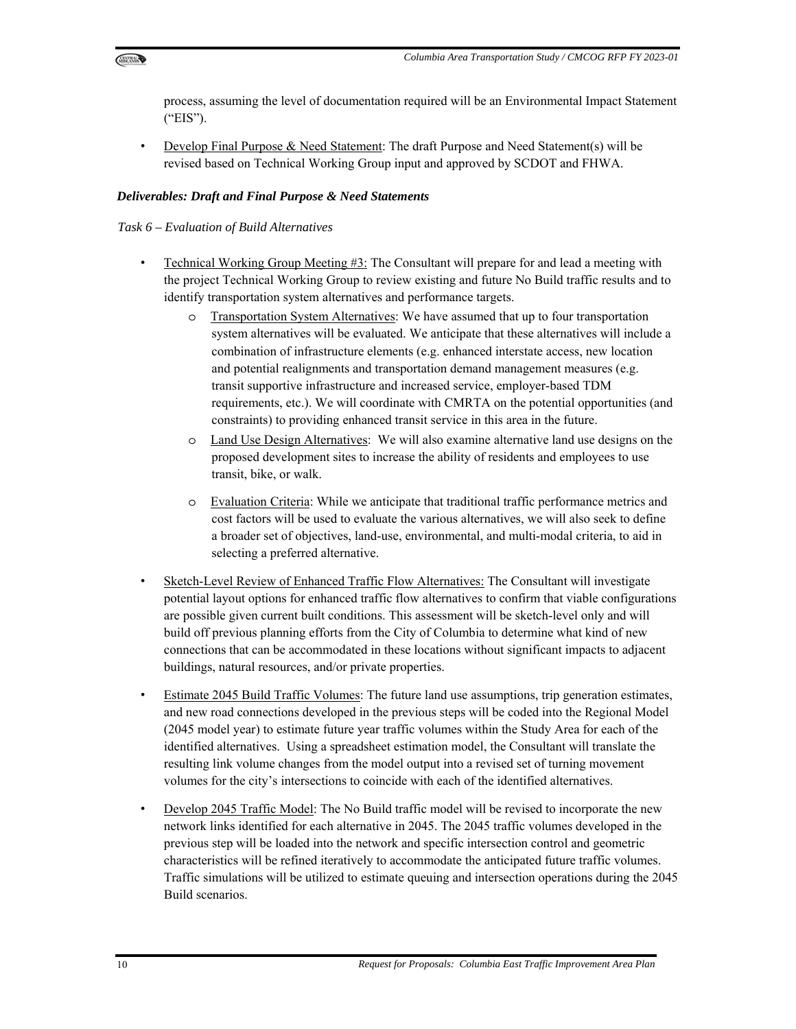

process, assuming the level of documentation required will be an Environmental Impact Statement ("EIS").

• Develop Final Purpose & Need Statement: The draft Purpose and Need Statement(s) will be revised based on Technical Working Group input and approved by SCDOT and FHWA.

#### *Deliverables: Draft and Final Purpose & Need Statements*

#### *Task 6 – Evaluation of Build Alternatives*

- Technical Working Group Meeting  $\#3$ : The Consultant will prepare for and lead a meeting with the project Technical Working Group to review existing and future No Build traffic results and to identify transportation system alternatives and performance targets.
	- o Transportation System Alternatives: We have assumed that up to four transportation system alternatives will be evaluated. We anticipate that these alternatives will include a combination of infrastructure elements (e.g. enhanced interstate access, new location and potential realignments and transportation demand management measures (e.g. transit supportive infrastructure and increased service, employer-based TDM requirements, etc.). We will coordinate with CMRTA on the potential opportunities (and constraints) to providing enhanced transit service in this area in the future.
	- o Land Use Design Alternatives: We will also examine alternative land use designs on the proposed development sites to increase the ability of residents and employees to use transit, bike, or walk.
	- o Evaluation Criteria: While we anticipate that traditional traffic performance metrics and cost factors will be used to evaluate the various alternatives, we will also seek to define a broader set of objectives, land-use, environmental, and multi-modal criteria, to aid in selecting a preferred alternative.
- Sketch-Level Review of Enhanced Traffic Flow Alternatives: The Consultant will investigate potential layout options for enhanced traffic flow alternatives to confirm that viable configurations are possible given current built conditions. This assessment will be sketch-level only and will build off previous planning efforts from the City of Columbia to determine what kind of new connections that can be accommodated in these locations without significant impacts to adjacent buildings, natural resources, and/or private properties.
- Estimate 2045 Build Traffic Volumes: The future land use assumptions, trip generation estimates, and new road connections developed in the previous steps will be coded into the Regional Model (2045 model year) to estimate future year traffic volumes within the Study Area for each of the identified alternatives. Using a spreadsheet estimation model, the Consultant will translate the resulting link volume changes from the model output into a revised set of turning movement volumes for the city's intersections to coincide with each of the identified alternatives.
- Develop 2045 Traffic Model: The No Build traffic model will be revised to incorporate the new network links identified for each alternative in 2045. The 2045 traffic volumes developed in the previous step will be loaded into the network and specific intersection control and geometric characteristics will be refined iteratively to accommodate the anticipated future traffic volumes. Traffic simulations will be utilized to estimate queuing and intersection operations during the 2045 Build scenarios.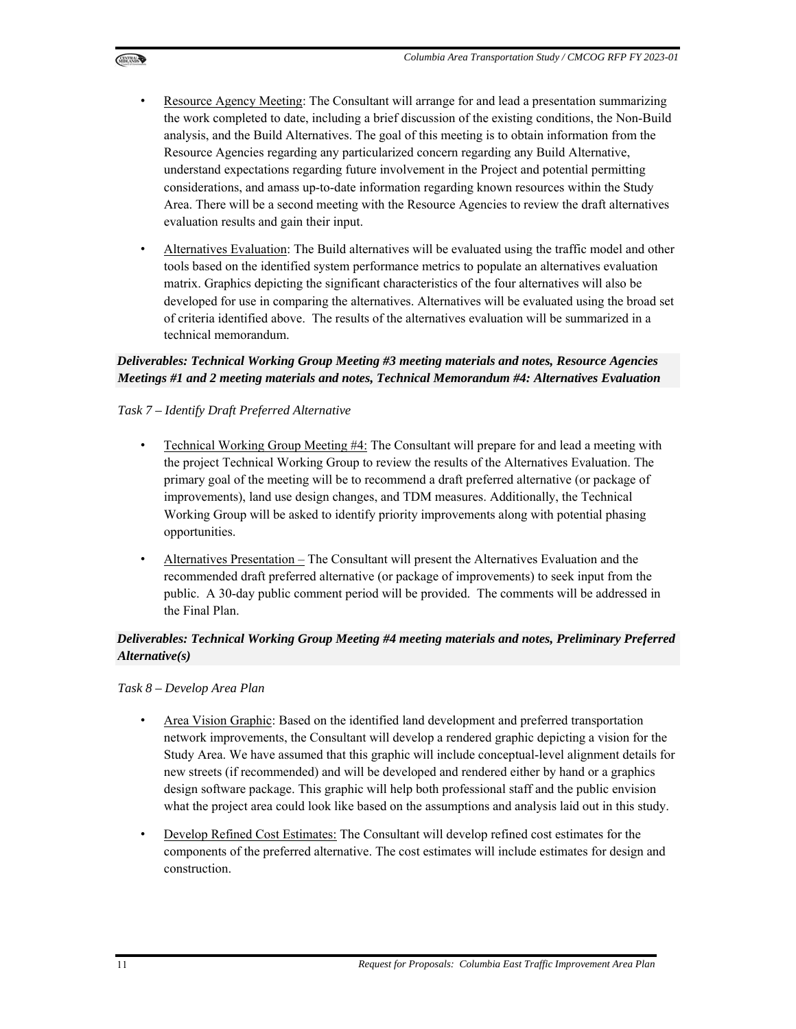- Resource Agency Meeting: The Consultant will arrange for and lead a presentation summarizing the work completed to date, including a brief discussion of the existing conditions, the Non-Build analysis, and the Build Alternatives. The goal of this meeting is to obtain information from the Resource Agencies regarding any particularized concern regarding any Build Alternative, understand expectations regarding future involvement in the Project and potential permitting considerations, and amass up-to-date information regarding known resources within the Study Area. There will be a second meeting with the Resource Agencies to review the draft alternatives evaluation results and gain their input.
- Alternatives Evaluation: The Build alternatives will be evaluated using the traffic model and other tools based on the identified system performance metrics to populate an alternatives evaluation matrix. Graphics depicting the significant characteristics of the four alternatives will also be developed for use in comparing the alternatives. Alternatives will be evaluated using the broad set of criteria identified above. The results of the alternatives evaluation will be summarized in a technical memorandum.

## *Deliverables: Technical Working Group Meeting #3 meeting materials and notes, Resource Agencies Meetings #1 and 2 meeting materials and notes, Technical Memorandum #4: Alternatives Evaluation*

#### *Task 7 – Identify Draft Preferred Alternative*

- Technical Working Group Meeting #4: The Consultant will prepare for and lead a meeting with the project Technical Working Group to review the results of the Alternatives Evaluation. The primary goal of the meeting will be to recommend a draft preferred alternative (or package of improvements), land use design changes, and TDM measures. Additionally, the Technical Working Group will be asked to identify priority improvements along with potential phasing opportunities.
- Alternatives Presentation The Consultant will present the Alternatives Evaluation and the recommended draft preferred alternative (or package of improvements) to seek input from the public. A 30-day public comment period will be provided. The comments will be addressed in the Final Plan.

## *Deliverables: Technical Working Group Meeting #4 meeting materials and notes, Preliminary Preferred Alternative(s)*

*Task 8 – Develop Area Plan* 

- Area Vision Graphic: Based on the identified land development and preferred transportation network improvements, the Consultant will develop a rendered graphic depicting a vision for the Study Area. We have assumed that this graphic will include conceptual-level alignment details for new streets (if recommended) and will be developed and rendered either by hand or a graphics design software package. This graphic will help both professional staff and the public envision what the project area could look like based on the assumptions and analysis laid out in this study.
- Develop Refined Cost Estimates: The Consultant will develop refined cost estimates for the components of the preferred alternative. The cost estimates will include estimates for design and construction.

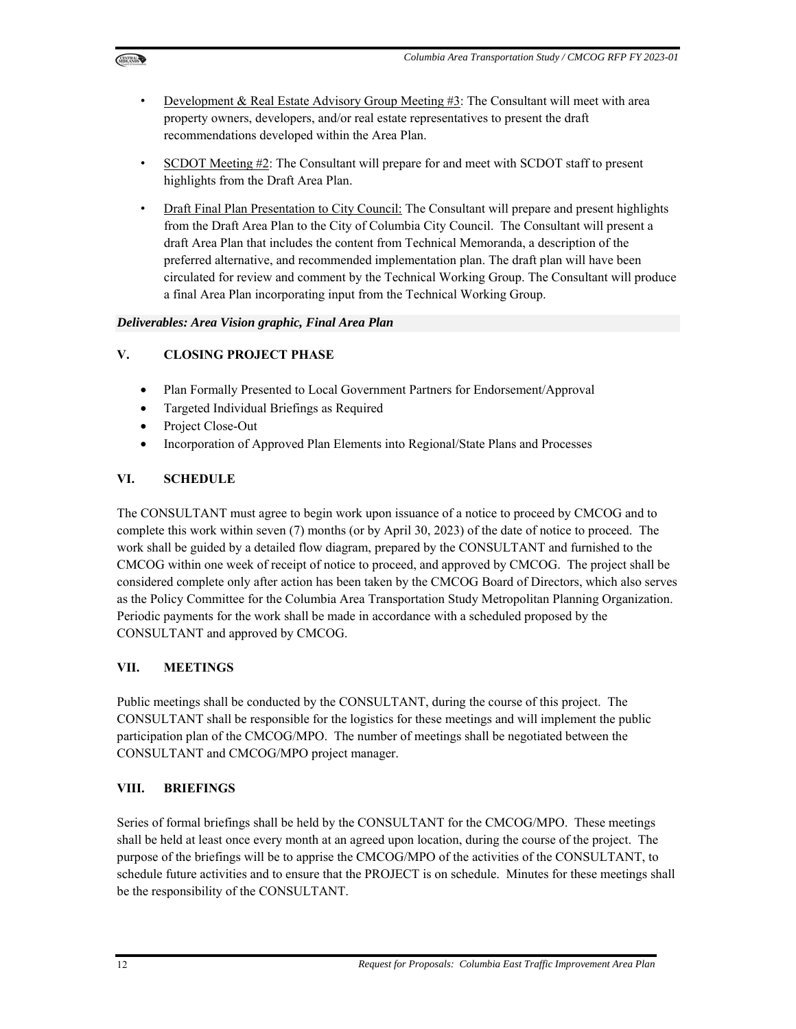

- Development & Real Estate Advisory Group Meeting  $\sharp 3$ : The Consultant will meet with area property owners, developers, and/or real estate representatives to present the draft recommendations developed within the Area Plan.
- SCDOT Meeting #2: The Consultant will prepare for and meet with SCDOT staff to present highlights from the Draft Area Plan.
- Draft Final Plan Presentation to City Council: The Consultant will prepare and present highlights from the Draft Area Plan to the City of Columbia City Council. The Consultant will present a draft Area Plan that includes the content from Technical Memoranda, a description of the preferred alternative, and recommended implementation plan. The draft plan will have been circulated for review and comment by the Technical Working Group. The Consultant will produce a final Area Plan incorporating input from the Technical Working Group.

## *Deliverables: Area Vision graphic, Final Area Plan*

## **V. CLOSING PROJECT PHASE**

- Plan Formally Presented to Local Government Partners for Endorsement/Approval
- Targeted Individual Briefings as Required
- Project Close-Out
- Incorporation of Approved Plan Elements into Regional/State Plans and Processes

## **VI. SCHEDULE**

The CONSULTANT must agree to begin work upon issuance of a notice to proceed by CMCOG and to complete this work within seven (7) months (or by April 30, 2023) of the date of notice to proceed. The work shall be guided by a detailed flow diagram, prepared by the CONSULTANT and furnished to the CMCOG within one week of receipt of notice to proceed, and approved by CMCOG. The project shall be considered complete only after action has been taken by the CMCOG Board of Directors, which also serves as the Policy Committee for the Columbia Area Transportation Study Metropolitan Planning Organization. Periodic payments for the work shall be made in accordance with a scheduled proposed by the CONSULTANT and approved by CMCOG.

## **VII. MEETINGS**

Public meetings shall be conducted by the CONSULTANT, during the course of this project. The CONSULTANT shall be responsible for the logistics for these meetings and will implement the public participation plan of the CMCOG/MPO. The number of meetings shall be negotiated between the CONSULTANT and CMCOG/MPO project manager.

## **VIII. BRIEFINGS**

Series of formal briefings shall be held by the CONSULTANT for the CMCOG/MPO. These meetings shall be held at least once every month at an agreed upon location, during the course of the project. The purpose of the briefings will be to apprise the CMCOG/MPO of the activities of the CONSULTANT, to schedule future activities and to ensure that the PROJECT is on schedule. Minutes for these meetings shall be the responsibility of the CONSULTANT.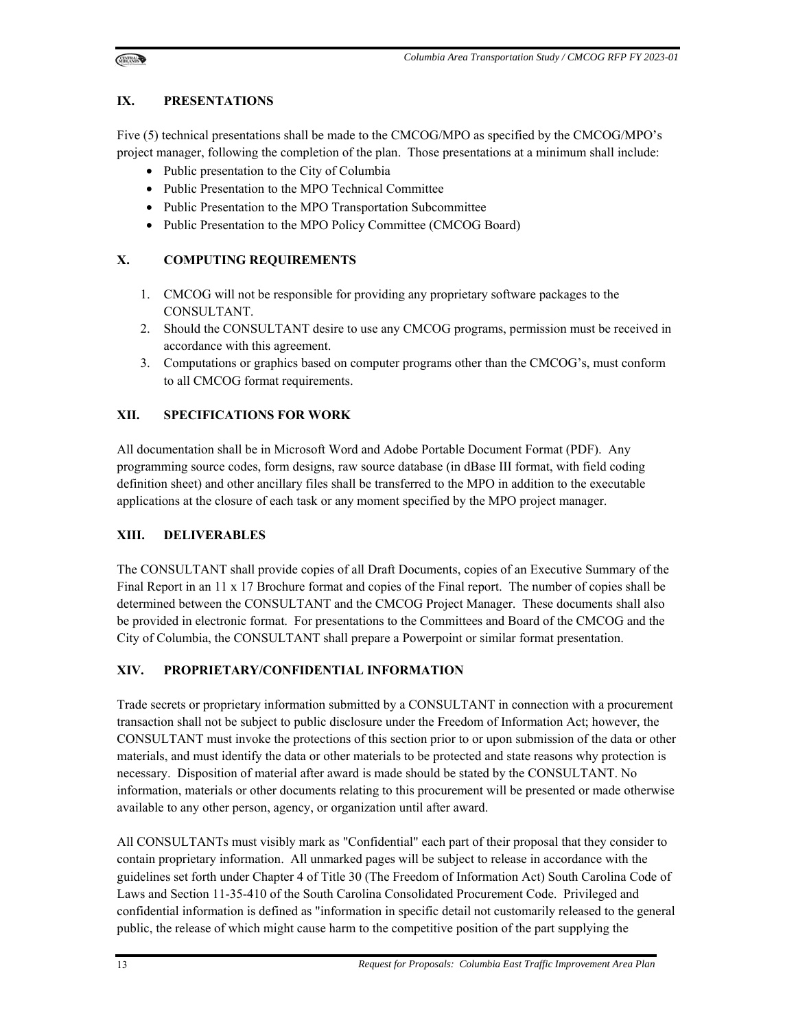## **IX. PRESENTATIONS**

Five (5) technical presentations shall be made to the CMCOG/MPO as specified by the CMCOG/MPO's project manager, following the completion of the plan. Those presentations at a minimum shall include:

- Public presentation to the City of Columbia
- Public Presentation to the MPO Technical Committee
- Public Presentation to the MPO Transportation Subcommittee
- Public Presentation to the MPO Policy Committee (CMCOG Board)

## **X. COMPUTING REQUIREMENTS**

- 1. CMCOG will not be responsible for providing any proprietary software packages to the CONSULTANT.
- 2. Should the CONSULTANT desire to use any CMCOG programs, permission must be received in accordance with this agreement.
- 3. Computations or graphics based on computer programs other than the CMCOG's, must conform to all CMCOG format requirements.

## **XII. SPECIFICATIONS FOR WORK**

All documentation shall be in Microsoft Word and Adobe Portable Document Format (PDF). Any programming source codes, form designs, raw source database (in dBase III format, with field coding definition sheet) and other ancillary files shall be transferred to the MPO in addition to the executable applications at the closure of each task or any moment specified by the MPO project manager.

## **XIII. DELIVERABLES**

The CONSULTANT shall provide copies of all Draft Documents, copies of an Executive Summary of the Final Report in an 11 x 17 Brochure format and copies of the Final report. The number of copies shall be determined between the CONSULTANT and the CMCOG Project Manager. These documents shall also be provided in electronic format. For presentations to the Committees and Board of the CMCOG and the City of Columbia, the CONSULTANT shall prepare a Powerpoint or similar format presentation.

## **XIV. PROPRIETARY/CONFIDENTIAL INFORMATION**

Trade secrets or proprietary information submitted by a CONSULTANT in connection with a procurement transaction shall not be subject to public disclosure under the Freedom of Information Act; however, the CONSULTANT must invoke the protections of this section prior to or upon submission of the data or other materials, and must identify the data or other materials to be protected and state reasons why protection is necessary. Disposition of material after award is made should be stated by the CONSULTANT. No information, materials or other documents relating to this procurement will be presented or made otherwise available to any other person, agency, or organization until after award.

All CONSULTANTs must visibly mark as "Confidential" each part of their proposal that they consider to contain proprietary information. All unmarked pages will be subject to release in accordance with the guidelines set forth under Chapter 4 of Title 30 (The Freedom of Information Act) South Carolina Code of Laws and Section 11-35-410 of the South Carolina Consolidated Procurement Code. Privileged and confidential information is defined as "information in specific detail not customarily released to the general public, the release of which might cause harm to the competitive position of the part supplying the

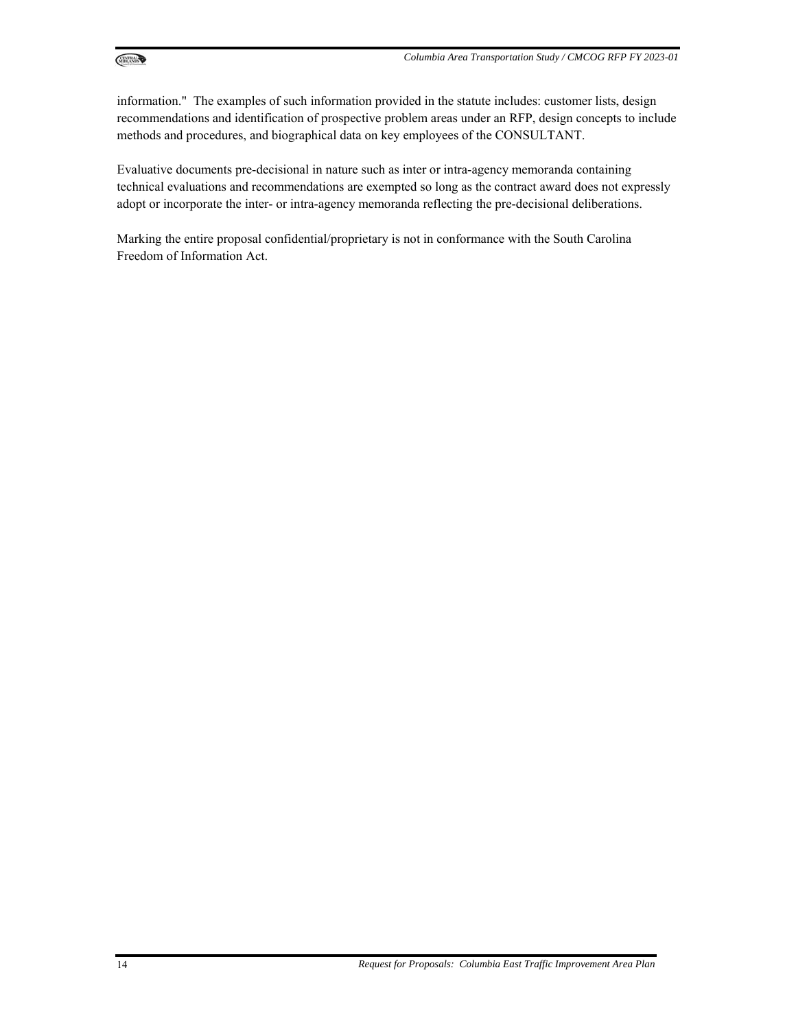

information." The examples of such information provided in the statute includes: customer lists, design recommendations and identification of prospective problem areas under an RFP, design concepts to include methods and procedures, and biographical data on key employees of the CONSULTANT.

Evaluative documents pre-decisional in nature such as inter or intra-agency memoranda containing technical evaluations and recommendations are exempted so long as the contract award does not expressly adopt or incorporate the inter- or intra-agency memoranda reflecting the pre-decisional deliberations.

Marking the entire proposal confidential/proprietary is not in conformance with the South Carolina Freedom of Information Act.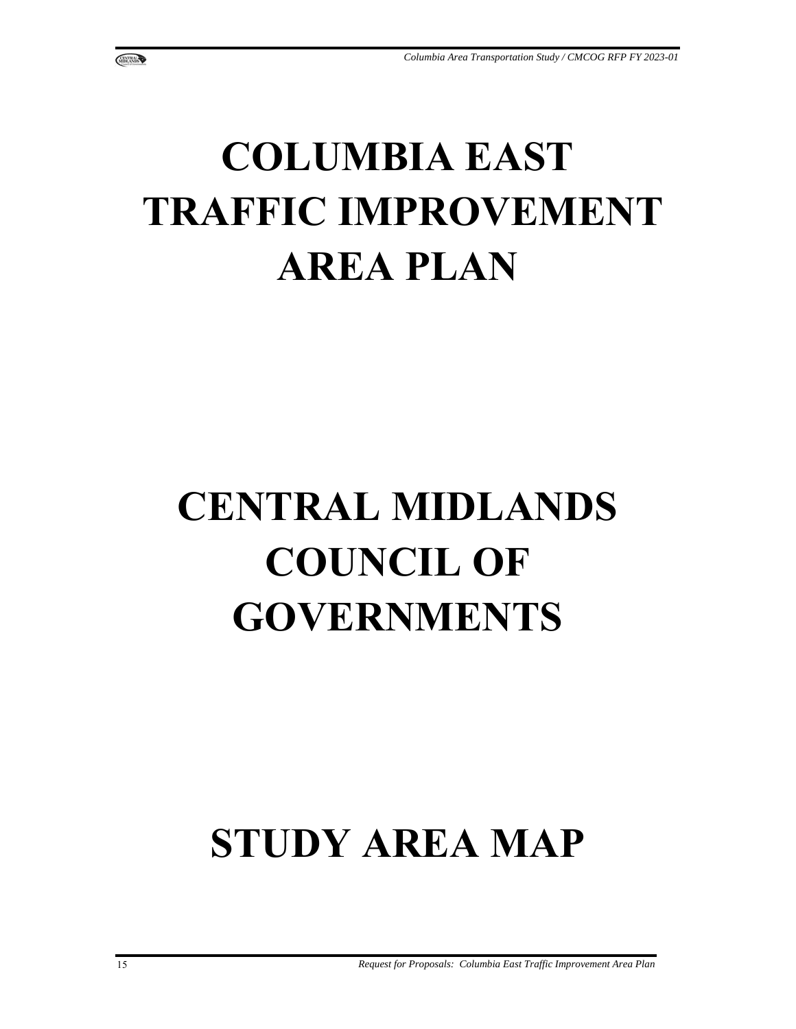## **COLUMBIA EAST TRAFFIC IMPROVEMENT AREA PLAN**

# **CENTRAL MIDLANDS COUNCIL OF GOVERNMENTS**

## **STUDY AREA MAP**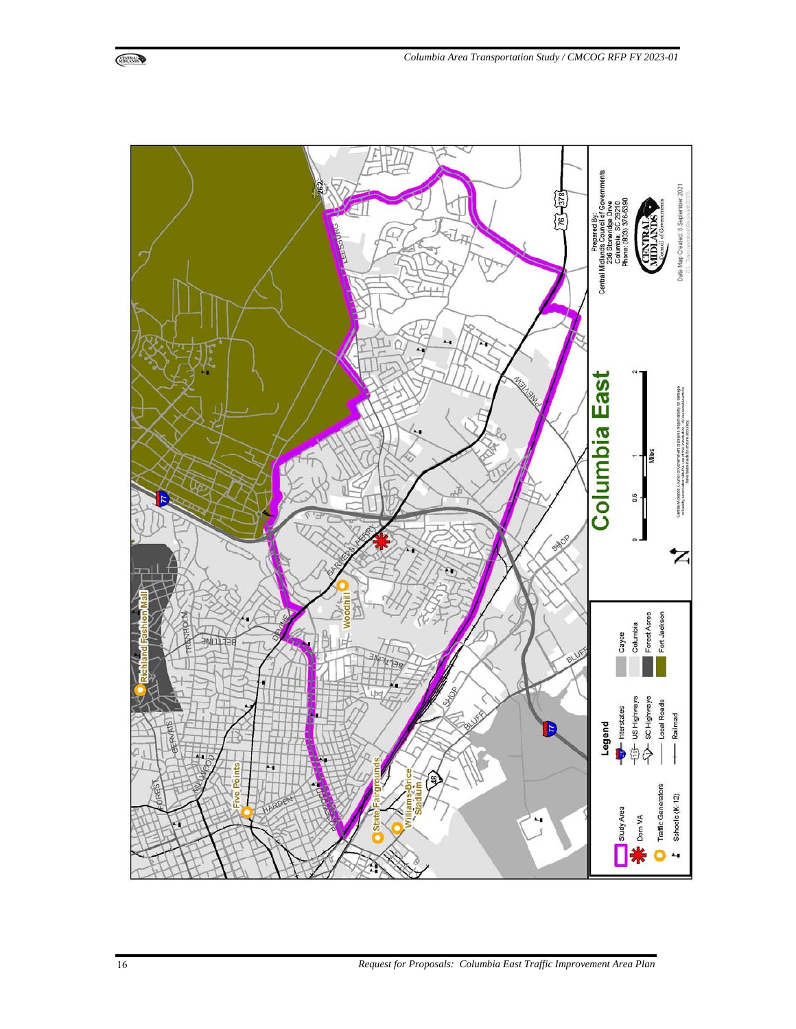

16 *Request for Proposals: Columbia East Traffic Improvement Area Plan*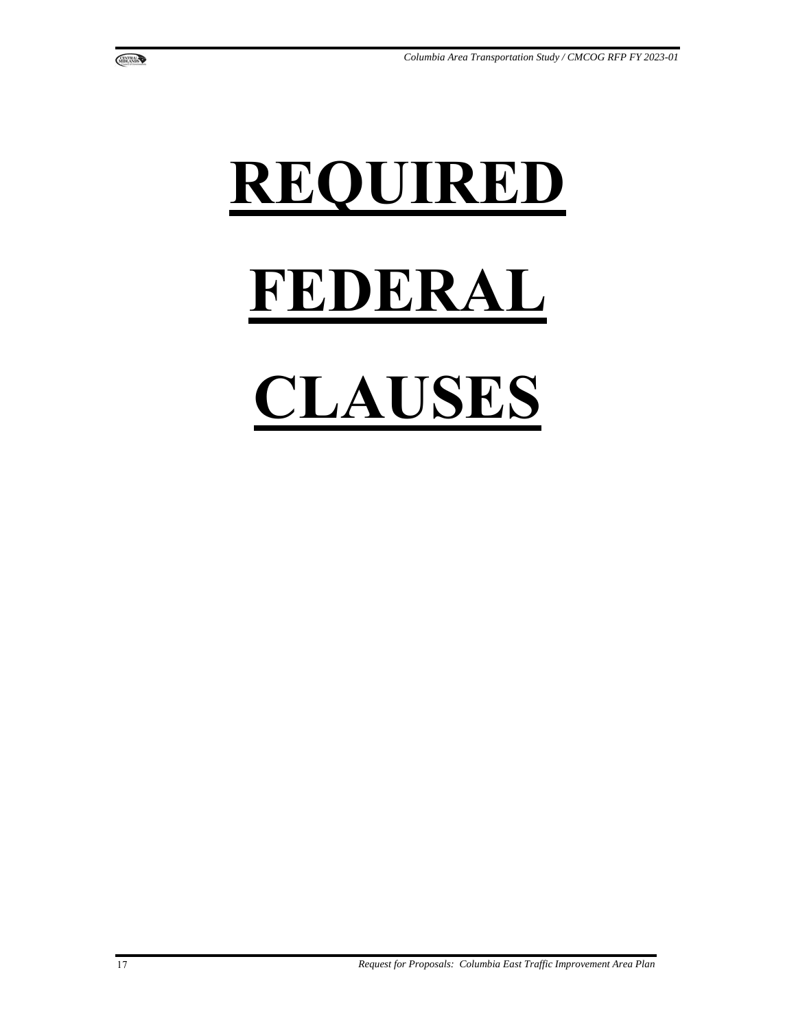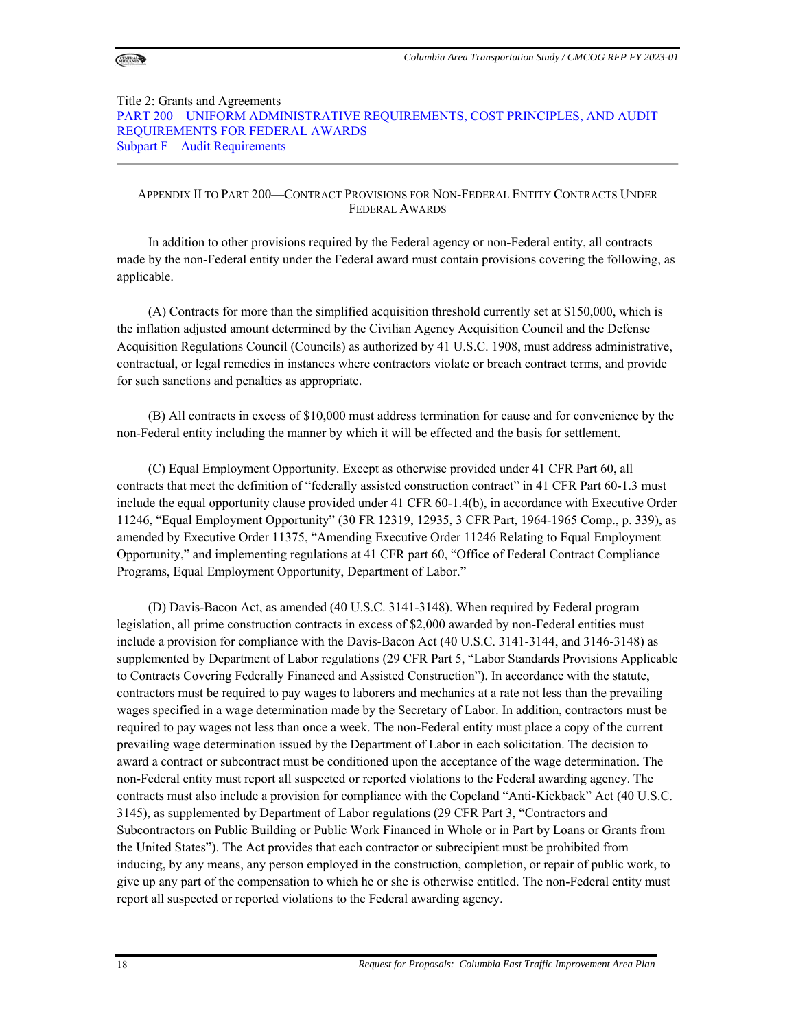

#### Title 2: Grants and Agreements PART 200—UNIFORM ADMINISTRATIVE REQUIREMENTS, COST PRINCIPLES, AND AUDIT REQUIREMENTS FOR FEDERAL AWARDS Subpart F—Audit Requirements

#### APPENDIX II TO PART 200—CONTRACT PROVISIONS FOR NON-FEDERAL ENTITY CONTRACTS UNDER FEDERAL AWARDS

In addition to other provisions required by the Federal agency or non-Federal entity, all contracts made by the non-Federal entity under the Federal award must contain provisions covering the following, as applicable.

(A) Contracts for more than the simplified acquisition threshold currently set at \$150,000, which is the inflation adjusted amount determined by the Civilian Agency Acquisition Council and the Defense Acquisition Regulations Council (Councils) as authorized by 41 U.S.C. 1908, must address administrative, contractual, or legal remedies in instances where contractors violate or breach contract terms, and provide for such sanctions and penalties as appropriate.

(B) All contracts in excess of \$10,000 must address termination for cause and for convenience by the non-Federal entity including the manner by which it will be effected and the basis for settlement.

(C) Equal Employment Opportunity. Except as otherwise provided under 41 CFR Part 60, all contracts that meet the definition of "federally assisted construction contract" in 41 CFR Part 60-1.3 must include the equal opportunity clause provided under 41 CFR 60-1.4(b), in accordance with Executive Order 11246, "Equal Employment Opportunity" (30 FR 12319, 12935, 3 CFR Part, 1964-1965 Comp., p. 339), as amended by Executive Order 11375, "Amending Executive Order 11246 Relating to Equal Employment Opportunity," and implementing regulations at 41 CFR part 60, "Office of Federal Contract Compliance Programs, Equal Employment Opportunity, Department of Labor."

(D) Davis-Bacon Act, as amended (40 U.S.C. 3141-3148). When required by Federal program legislation, all prime construction contracts in excess of \$2,000 awarded by non-Federal entities must include a provision for compliance with the Davis-Bacon Act (40 U.S.C. 3141-3144, and 3146-3148) as supplemented by Department of Labor regulations (29 CFR Part 5, "Labor Standards Provisions Applicable to Contracts Covering Federally Financed and Assisted Construction"). In accordance with the statute, contractors must be required to pay wages to laborers and mechanics at a rate not less than the prevailing wages specified in a wage determination made by the Secretary of Labor. In addition, contractors must be required to pay wages not less than once a week. The non-Federal entity must place a copy of the current prevailing wage determination issued by the Department of Labor in each solicitation. The decision to award a contract or subcontract must be conditioned upon the acceptance of the wage determination. The non-Federal entity must report all suspected or reported violations to the Federal awarding agency. The contracts must also include a provision for compliance with the Copeland "Anti-Kickback" Act (40 U.S.C. 3145), as supplemented by Department of Labor regulations (29 CFR Part 3, "Contractors and Subcontractors on Public Building or Public Work Financed in Whole or in Part by Loans or Grants from the United States"). The Act provides that each contractor or subrecipient must be prohibited from inducing, by any means, any person employed in the construction, completion, or repair of public work, to give up any part of the compensation to which he or she is otherwise entitled. The non-Federal entity must report all suspected or reported violations to the Federal awarding agency.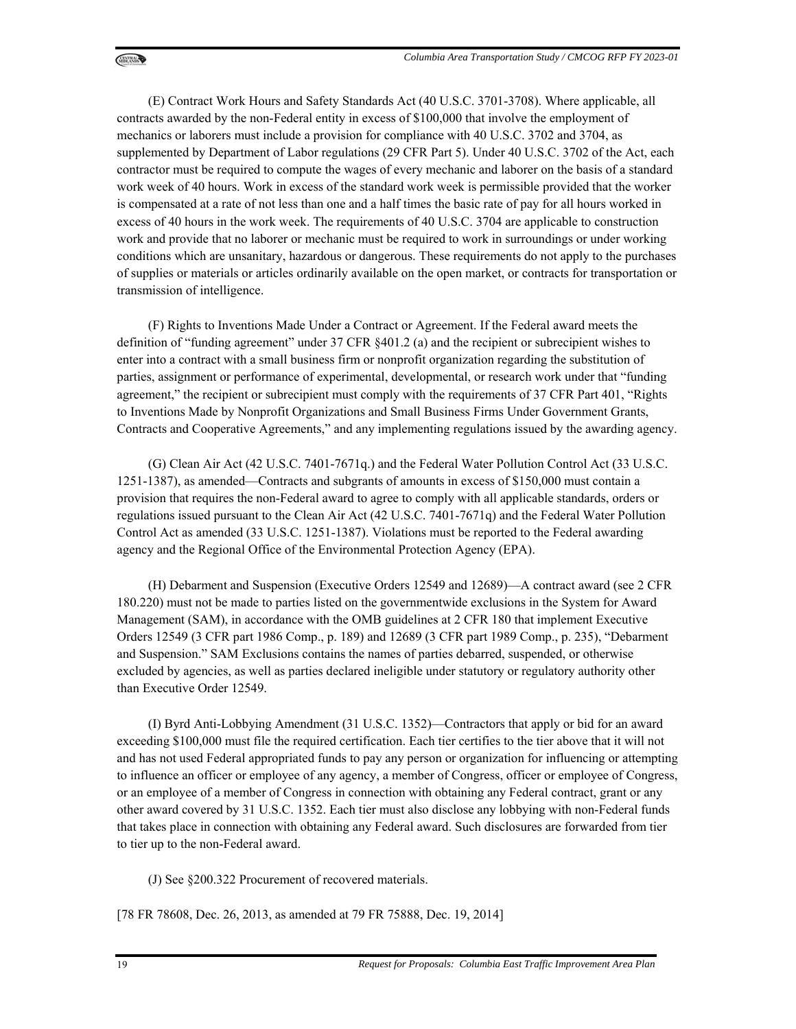(E) Contract Work Hours and Safety Standards Act (40 U.S.C. 3701-3708). Where applicable, all contracts awarded by the non-Federal entity in excess of \$100,000 that involve the employment of mechanics or laborers must include a provision for compliance with 40 U.S.C. 3702 and 3704, as supplemented by Department of Labor regulations (29 CFR Part 5). Under 40 U.S.C. 3702 of the Act, each contractor must be required to compute the wages of every mechanic and laborer on the basis of a standard work week of 40 hours. Work in excess of the standard work week is permissible provided that the worker is compensated at a rate of not less than one and a half times the basic rate of pay for all hours worked in excess of 40 hours in the work week. The requirements of 40 U.S.C. 3704 are applicable to construction work and provide that no laborer or mechanic must be required to work in surroundings or under working conditions which are unsanitary, hazardous or dangerous. These requirements do not apply to the purchases of supplies or materials or articles ordinarily available on the open market, or contracts for transportation or transmission of intelligence.

(F) Rights to Inventions Made Under a Contract or Agreement. If the Federal award meets the definition of "funding agreement" under 37 CFR §401.2 (a) and the recipient or subrecipient wishes to enter into a contract with a small business firm or nonprofit organization regarding the substitution of parties, assignment or performance of experimental, developmental, or research work under that "funding agreement," the recipient or subrecipient must comply with the requirements of 37 CFR Part 401, "Rights to Inventions Made by Nonprofit Organizations and Small Business Firms Under Government Grants, Contracts and Cooperative Agreements," and any implementing regulations issued by the awarding agency.

(G) Clean Air Act (42 U.S.C. 7401-7671q.) and the Federal Water Pollution Control Act (33 U.S.C. 1251-1387), as amended—Contracts and subgrants of amounts in excess of \$150,000 must contain a provision that requires the non-Federal award to agree to comply with all applicable standards, orders or regulations issued pursuant to the Clean Air Act (42 U.S.C. 7401-7671q) and the Federal Water Pollution Control Act as amended (33 U.S.C. 1251-1387). Violations must be reported to the Federal awarding agency and the Regional Office of the Environmental Protection Agency (EPA).

(H) Debarment and Suspension (Executive Orders 12549 and 12689)—A contract award (see 2 CFR 180.220) must not be made to parties listed on the governmentwide exclusions in the System for Award Management (SAM), in accordance with the OMB guidelines at 2 CFR 180 that implement Executive Orders 12549 (3 CFR part 1986 Comp., p. 189) and 12689 (3 CFR part 1989 Comp., p. 235), "Debarment and Suspension." SAM Exclusions contains the names of parties debarred, suspended, or otherwise excluded by agencies, as well as parties declared ineligible under statutory or regulatory authority other than Executive Order 12549.

(I) Byrd Anti-Lobbying Amendment (31 U.S.C. 1352)—Contractors that apply or bid for an award exceeding \$100,000 must file the required certification. Each tier certifies to the tier above that it will not and has not used Federal appropriated funds to pay any person or organization for influencing or attempting to influence an officer or employee of any agency, a member of Congress, officer or employee of Congress, or an employee of a member of Congress in connection with obtaining any Federal contract, grant or any other award covered by 31 U.S.C. 1352. Each tier must also disclose any lobbying with non-Federal funds that takes place in connection with obtaining any Federal award. Such disclosures are forwarded from tier to tier up to the non-Federal award.

(J) See §200.322 Procurement of recovered materials.

[78 FR 78608, Dec. 26, 2013, as amended at 79 FR 75888, Dec. 19, 2014]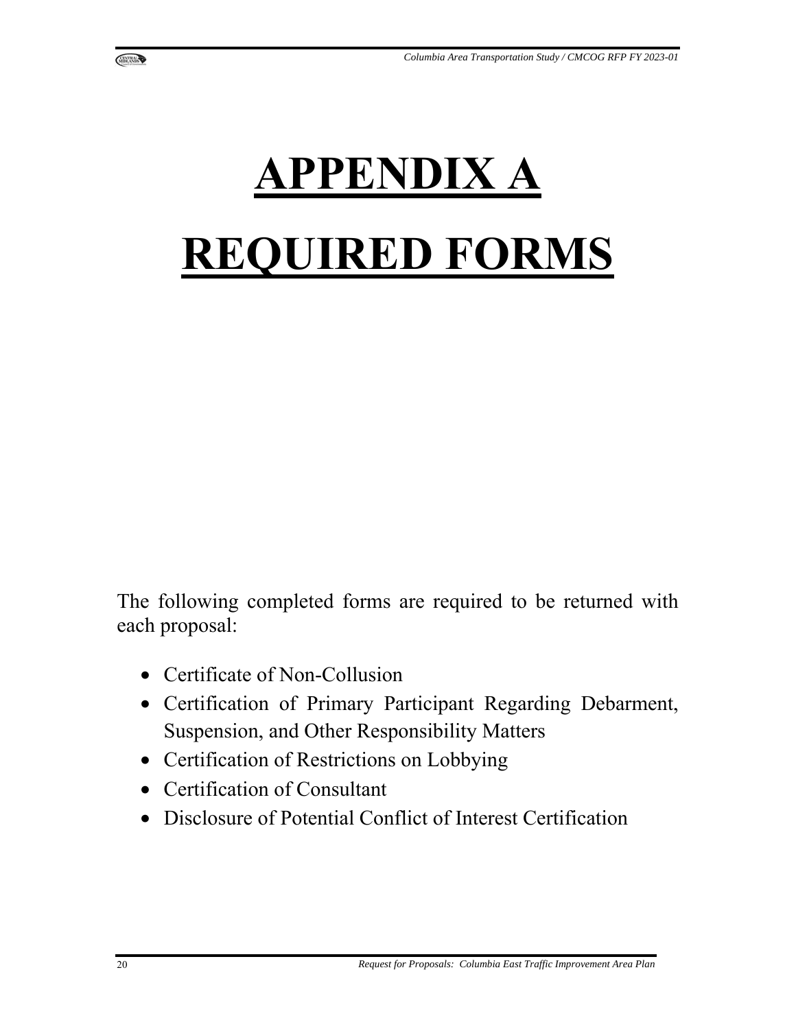

The following completed forms are required to be returned with each proposal:

- Certificate of Non-Collusion
- Certification of Primary Participant Regarding Debarment, Suspension, and Other Responsibility Matters
- Certification of Restrictions on Lobbying
- Certification of Consultant
- Disclosure of Potential Conflict of Interest Certification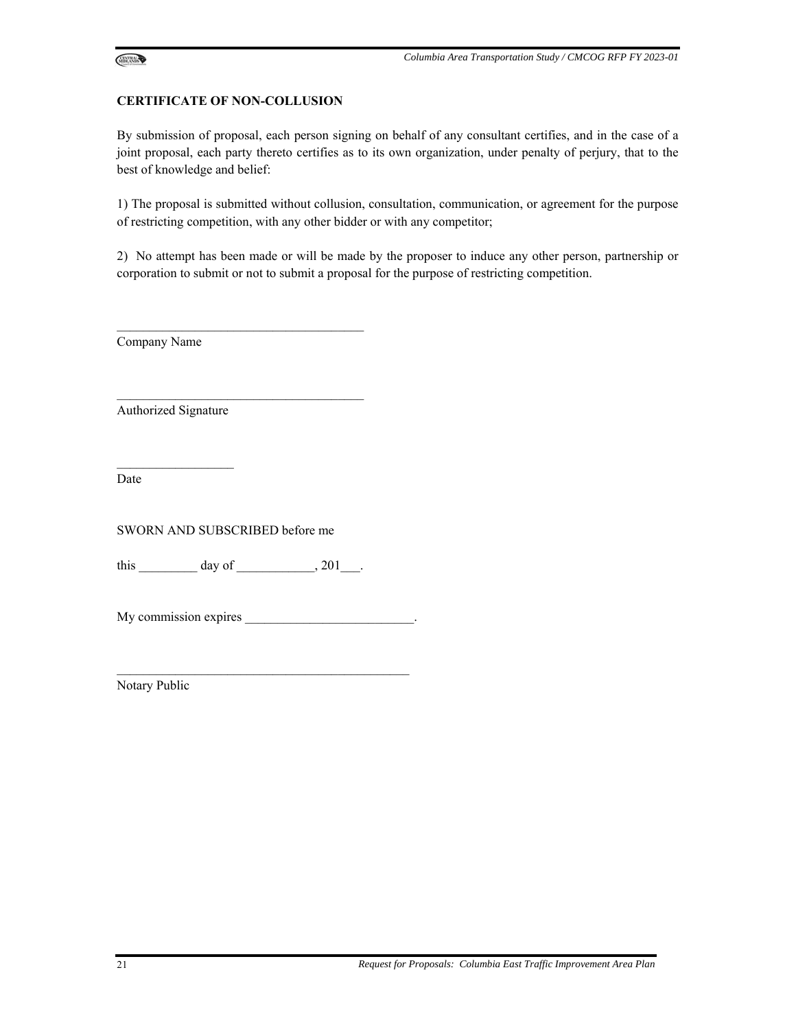

#### **CERTIFICATE OF NON-COLLUSION**

By submission of proposal, each person signing on behalf of any consultant certifies, and in the case of a joint proposal, each party thereto certifies as to its own organization, under penalty of perjury, that to the best of knowledge and belief:

1) The proposal is submitted without collusion, consultation, communication, or agreement for the purpose of restricting competition, with any other bidder or with any competitor;

2) No attempt has been made or will be made by the proposer to induce any other person, partnership or corporation to submit or not to submit a proposal for the purpose of restricting competition.

Company Name

Authorized Signature

 $\mathcal{L}=\mathcal{L}=\mathcal{L}=\mathcal{L}=\mathcal{L}=\mathcal{L}=\mathcal{L}=\mathcal{L}=\mathcal{L}=\mathcal{L}=\mathcal{L}=\mathcal{L}=\mathcal{L}=\mathcal{L}=\mathcal{L}=\mathcal{L}=\mathcal{L}=\mathcal{L}=\mathcal{L}=\mathcal{L}=\mathcal{L}=\mathcal{L}=\mathcal{L}=\mathcal{L}=\mathcal{L}=\mathcal{L}=\mathcal{L}=\mathcal{L}=\mathcal{L}=\mathcal{L}=\mathcal{L}=\mathcal{L}=\mathcal{L}=\mathcal{L}=\mathcal{L}=\mathcal{L}=\mathcal{$ 

Date

SWORN AND SUBSCRIBED before me

this  $\text{day of}$   $\qquad \qquad$   $, 201$  .

 $\mathcal{L}_\text{max}$  and  $\mathcal{L}_\text{max}$  and  $\mathcal{L}_\text{max}$  and  $\mathcal{L}_\text{max}$ 

 $\mathcal{L}_\text{max}$  and  $\mathcal{L}_\text{max}$  and  $\mathcal{L}_\text{max}$  and  $\mathcal{L}_\text{max}$ 

My commission expires  $\blacksquare$ 

 $\mathcal{L}_\text{max}$  and  $\mathcal{L}_\text{max}$  and  $\mathcal{L}_\text{max}$  and  $\mathcal{L}_\text{max}$  and  $\mathcal{L}_\text{max}$ 

Notary Public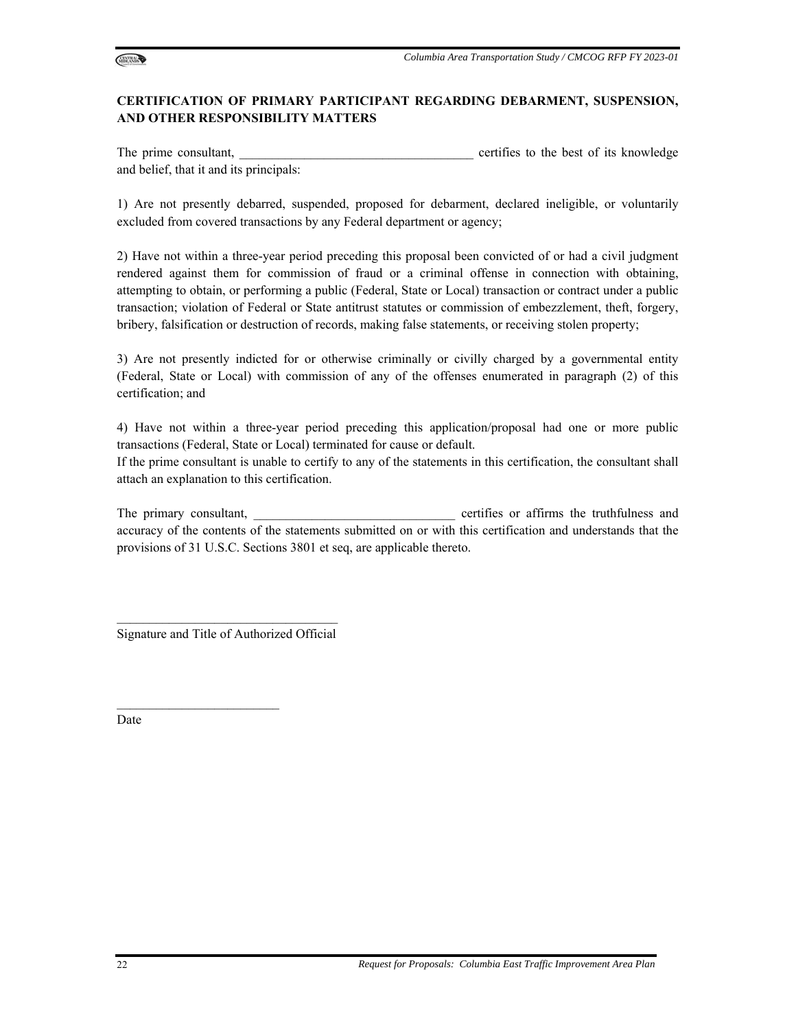

## **CERTIFICATION OF PRIMARY PARTICIPANT REGARDING DEBARMENT, SUSPENSION, AND OTHER RESPONSIBILITY MATTERS**

The prime consultant, the prime consultant, the set of its knowledge of its knowledge and belief, that it and its principals:

1) Are not presently debarred, suspended, proposed for debarment, declared ineligible, or voluntarily excluded from covered transactions by any Federal department or agency;

2) Have not within a three-year period preceding this proposal been convicted of or had a civil judgment rendered against them for commission of fraud or a criminal offense in connection with obtaining, attempting to obtain, or performing a public (Federal, State or Local) transaction or contract under a public transaction; violation of Federal or State antitrust statutes or commission of embezzlement, theft, forgery, bribery, falsification or destruction of records, making false statements, or receiving stolen property;

3) Are not presently indicted for or otherwise criminally or civilly charged by a governmental entity (Federal, State or Local) with commission of any of the offenses enumerated in paragraph (2) of this certification; and

4) Have not within a three-year period preceding this application/proposal had one or more public transactions (Federal, State or Local) terminated for cause or default.

If the prime consultant is unable to certify to any of the statements in this certification, the consultant shall attach an explanation to this certification.

The primary consultant, the consultant, the consultant of the truthfulness and certifies or affirms the truthfulness and accuracy of the contents of the statements submitted on or with this certification and understands that the provisions of 31 U.S.C. Sections 3801 et seq, are applicable thereto.

 $\mathcal{L}_\text{max}$  and  $\mathcal{L}_\text{max}$  and  $\mathcal{L}_\text{max}$  and  $\mathcal{L}_\text{max}$ Signature and Title of Authorized Official

 $\mathcal{L}_\text{max}$ 

Date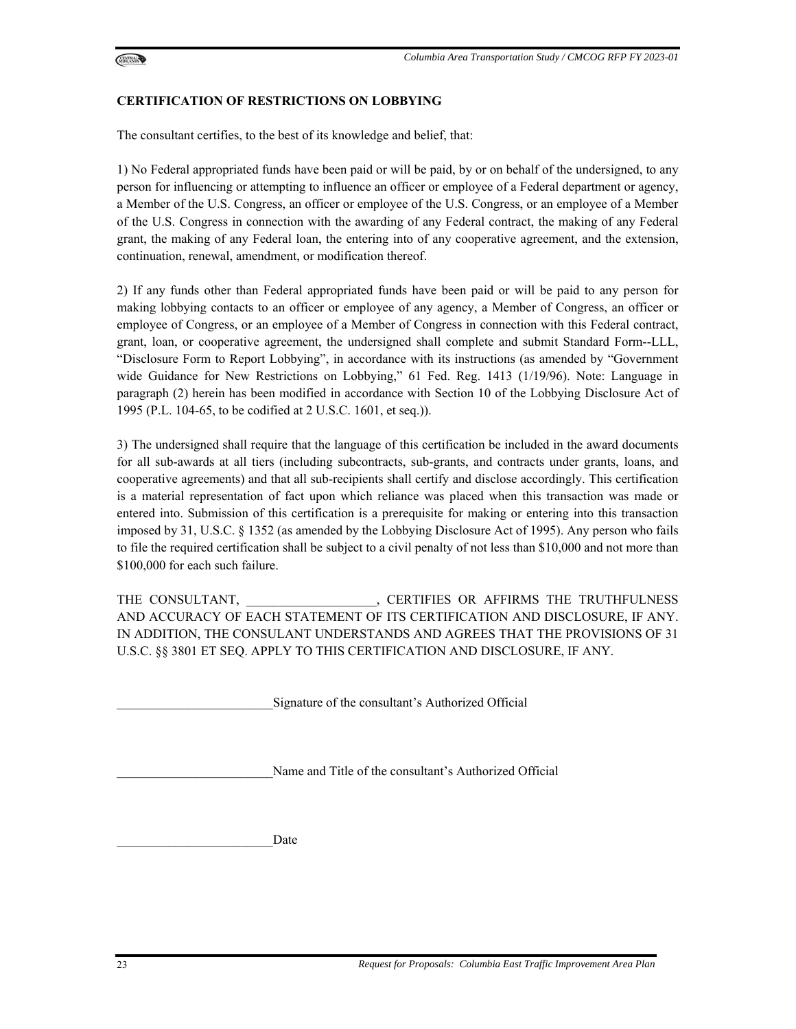

#### **CERTIFICATION OF RESTRICTIONS ON LOBBYING**

The consultant certifies, to the best of its knowledge and belief, that:

1) No Federal appropriated funds have been paid or will be paid, by or on behalf of the undersigned, to any person for influencing or attempting to influence an officer or employee of a Federal department or agency, a Member of the U.S. Congress, an officer or employee of the U.S. Congress, or an employee of a Member of the U.S. Congress in connection with the awarding of any Federal contract, the making of any Federal grant, the making of any Federal loan, the entering into of any cooperative agreement, and the extension, continuation, renewal, amendment, or modification thereof.

2) If any funds other than Federal appropriated funds have been paid or will be paid to any person for making lobbying contacts to an officer or employee of any agency, a Member of Congress, an officer or employee of Congress, or an employee of a Member of Congress in connection with this Federal contract, grant, loan, or cooperative agreement, the undersigned shall complete and submit Standard Form--LLL, "Disclosure Form to Report Lobbying", in accordance with its instructions (as amended by "Government wide Guidance for New Restrictions on Lobbying," 61 Fed. Reg. 1413 (1/19/96). Note: Language in paragraph (2) herein has been modified in accordance with Section 10 of the Lobbying Disclosure Act of 1995 (P.L. 104-65, to be codified at 2 U.S.C. 1601, et seq.)).

3) The undersigned shall require that the language of this certification be included in the award documents for all sub-awards at all tiers (including subcontracts, sub-grants, and contracts under grants, loans, and cooperative agreements) and that all sub-recipients shall certify and disclose accordingly. This certification is a material representation of fact upon which reliance was placed when this transaction was made or entered into. Submission of this certification is a prerequisite for making or entering into this transaction imposed by 31, U.S.C. § 1352 (as amended by the Lobbying Disclosure Act of 1995). Any person who fails to file the required certification shall be subject to a civil penalty of not less than \$10,000 and not more than \$100,000 for each such failure.

THE CONSULTANT, \_\_\_\_\_\_\_\_\_\_\_\_\_\_\_\_\_\_\_\_, CERTIFIES OR AFFIRMS THE TRUTHFULNESS AND ACCURACY OF EACH STATEMENT OF ITS CERTIFICATION AND DISCLOSURE, IF ANY. IN ADDITION, THE CONSULANT UNDERSTANDS AND AGREES THAT THE PROVISIONS OF 31 U.S.C. §§ 3801 ET SEQ. APPLY TO THIS CERTIFICATION AND DISCLOSURE, IF ANY.

Signature of the consultant's Authorized Official

Name and Title of the consultant's Authorized Official

Date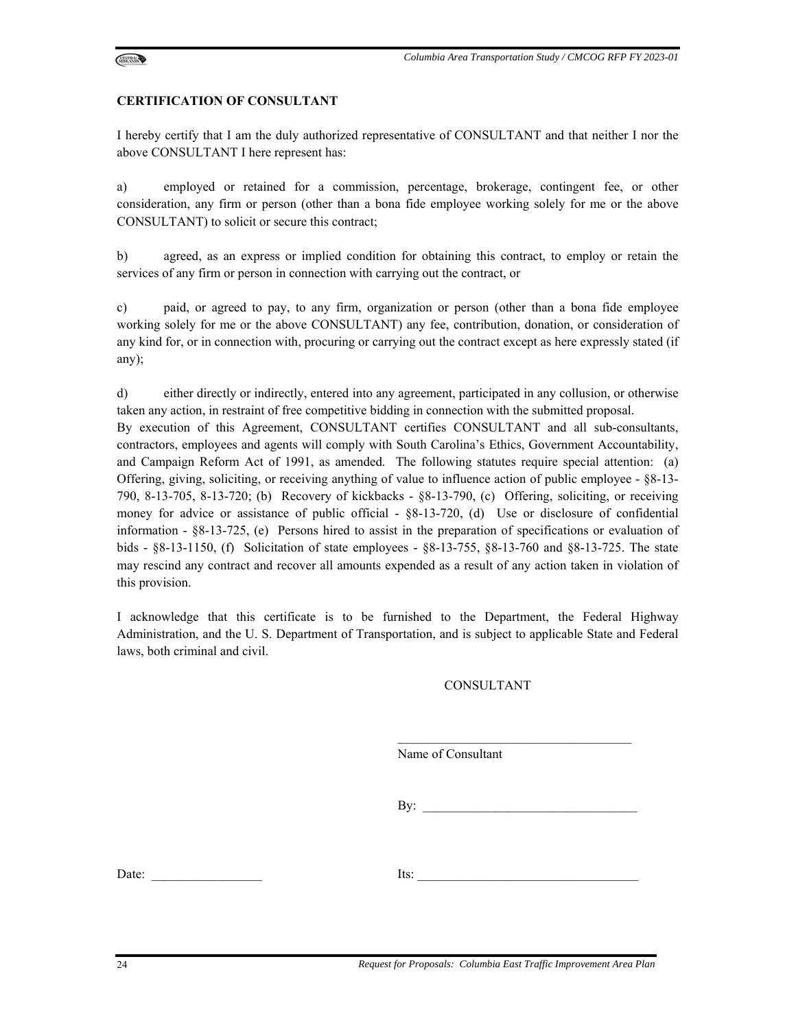

#### **CERTIFICATION OF CONSULTANT**

I hereby certify that I am the duly authorized representative of CONSULTANT and that neither I nor the above CONSULTANT I here represent has:

a) employed or retained for a commission, percentage, brokerage, contingent fee, or other consideration, any firm or person (other than a bona fide employee working solely for me or the above CONSULTANT) to solicit or secure this contract;

b) agreed, as an express or implied condition for obtaining this contract, to employ or retain the services of any firm or person in connection with carrying out the contract, or

c) paid, or agreed to pay, to any firm, organization or person (other than a bona fide employee working solely for me or the above CONSULTANT) any fee, contribution, donation, or consideration of any kind for, or in connection with, procuring or carrying out the contract except as here expressly stated (if any);

d) either directly or indirectly, entered into any agreement, participated in any collusion, or otherwise taken any action, in restraint of free competitive bidding in connection with the submitted proposal. By execution of this Agreement, CONSULTANT certifies CONSULTANT and all sub-consultants, contractors, employees and agents will comply with South Carolina's Ethics, Government Accountability, and Campaign Reform Act of 1991, as amended. The following statutes require special attention: (a) Offering, giving, soliciting, or receiving anything of value to influence action of public employee - §8-13- 790, 8-13-705, 8-13-720; (b) Recovery of kickbacks - §8-13-790, (c) Offering, soliciting, or receiving money for advice or assistance of public official - §8-13-720, (d) Use or disclosure of confidential information - §8-13-725, (e) Persons hired to assist in the preparation of specifications or evaluation of bids - §8-13-1150, (f) Solicitation of state employees - §8-13-755, §8-13-760 and §8-13-725. The state may rescind any contract and recover all amounts expended as a result of any action taken in violation of this provision.

I acknowledge that this certificate is to be furnished to the Department, the Federal Highway Administration, and the U. S. Department of Transportation, and is subject to applicable State and Federal laws, both criminal and civil.

#### CONSULTANT

Name of Consultant

 $\mathbf{By:}$ 

Date:  $\qquad \qquad$  Its: